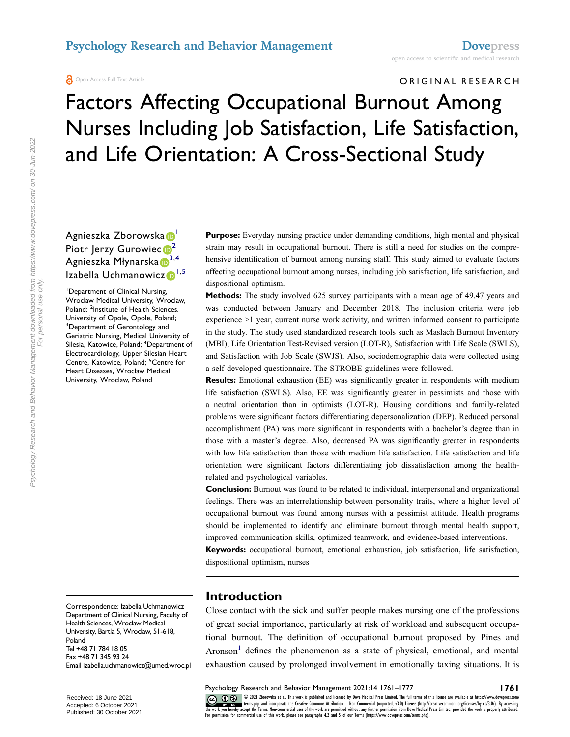### **Psychology Research and Behavior Management <b>[Dovepress](https://www.dovepress.com)**

**A** Open Access Full Text Article

#### ORIGINAL RESEARCH

# Factors Affecting Occupational Burnout Among Nurses Including Job Satisfaction, Life Satisfaction, and Life Orientation: A Cross-Sectional Study

### Agnieszka Zborowska D Piotr Jerzy Gurowiec<sup>®</sup><sup>[2](#page-0-1)</sup> Agnieszka Młynarska  $\mathbb{D}^{3,4}$  $\mathbb{D}^{3,4}$  $\mathbb{D}^{3,4}$  $\mathbb{D}^{3,4}$  $\mathbb{D}^{3,4}$ Izabella Uchmanowicz<sup>®[1](#page-0-0),[5](#page-0-4)</sup>

<span id="page-0-4"></span><span id="page-0-3"></span><span id="page-0-2"></span><span id="page-0-1"></span><span id="page-0-0"></span>1 Department of Clinical Nursing, Wroclaw Medical University, Wroclaw, Poland; <sup>2</sup>Institute of Health Sciences, University of Opole, Opole, Poland; <sup>3</sup>Department of Gerontology and Geriatric Nursing, Medical University of Silesia, Katowice, Poland; <sup>4</sup>Department of Electrocardiology, Upper Silesian Heart Centre, Katowice, Poland; <sup>5</sup>Centre for Heart Diseases, Wroclaw Medical University, Wroclaw, Poland

Correspondence: Izabella Uchmanowicz Department of Clinical Nursing, Faculty of Health Sciences, Wroclaw Medical University, Bartla 5, Wroclaw, 51-618, Poland Tel +48 71 784 18 05 Fax +48 71 345 93 24 Email [izabella.uchmanowicz@umed.wroc.pl](mailto:izabella.uchmanowicz@umed.wroc.pl) **Purpose:** Everyday nursing practice under demanding conditions, high mental and physical strain may result in occupational burnout. There is still a need for studies on the comprehensive identification of burnout among nursing staff. This study aimed to evaluate factors affecting occupational burnout among nurses, including job satisfaction, life satisfaction, and dispositional optimism.

**Methods:** The study involved 625 survey participants with a mean age of 49.47 years and was conducted between January and December 2018. The inclusion criteria were job experience >1 year, current nurse work activity, and written informed consent to participate in the study. The study used standardized research tools such as Maslach Burnout Inventory (MBI), Life Orientation Test-Revised version (LOT-R), Satisfaction with Life Scale (SWLS), and Satisfaction with Job Scale (SWJS). Also, sociodemographic data were collected using a self-developed questionnaire. The STROBE guidelines were followed.

**Results:** Emotional exhaustion (EE) was significantly greater in respondents with medium life satisfaction (SWLS). Also, EE was significantly greater in pessimists and those with a neutral orientation than in optimists (LOT-R). Housing conditions and family-related problems were significant factors differentiating depersonalization (DEP). Reduced personal accomplishment (PA) was more significant in respondents with a bachelor's degree than in those with a master's degree. Also, decreased PA was significantly greater in respondents with low life satisfaction than those with medium life satisfaction. Life satisfaction and life orientation were significant factors differentiating job dissatisfaction among the healthrelated and psychological variables.

**Conclusion:** Burnout was found to be related to individual, interpersonal and organizational feelings. There was an interrelationship between personality traits, where a higher level of occupational burnout was found among nurses with a pessimist attitude. Health programs should be implemented to identify and eliminate burnout through mental health support, improved communication skills, optimized teamwork, and evidence-based interventions.

**Keywords:** occupational burnout, emotional exhaustion, job satisfaction, life satisfaction, dispositional optimism, nurses

### **Introduction**

<span id="page-0-5"></span>Close contact with the sick and suffer people makes nursing one of the professions of great social importance, particularly at risk of workload and subsequent occupational burnout. The definition of occupational burnout proposed by Pines and Aronson<sup>[1](#page-14-0)</sup> defines the phenomenon as a state of physical, emotional, and mental exhaustion caused by prolonged involvement in emotionally taxing situations. It is

Psychology Research and Behavior Management 2021:14 1761–1777<br> **Co.** 10 S 2021 *Borowska* et al. This work is published and licensed by Dove Medical Press Limited. The full terms of this license are available at https://ww CO OD SUI Iborowska et al. This work is published and licensed by Dove Medical Press Limited. The full terms of this license are available at https://www.dovepress.com/<br>the work you hereby accept the Terms. Non-commercial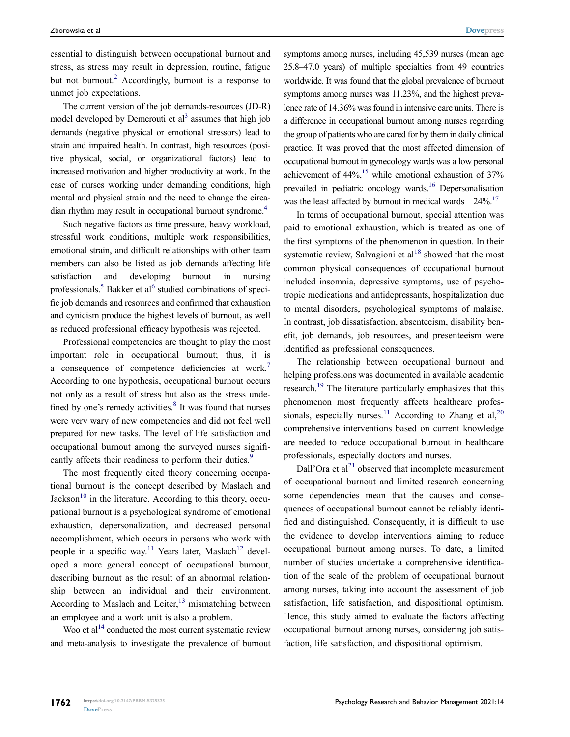<span id="page-1-0"></span>essential to distinguish between occupational burnout and stress, as stress may result in depression, routine, fatigue but not burnout.<sup>[2](#page-14-1)</sup> Accordingly, burnout is a response to unmet job expectations.

<span id="page-1-1"></span>The current version of the job demands-resources (JD-R) model developed by Demerouti et  $al<sup>3</sup>$  assumes that high job demands (negative physical or emotional stressors) lead to strain and impaired health. In contrast, high resources (positive physical, social, or organizational factors) lead to increased motivation and higher productivity at work. In the case of nurses working under demanding conditions, high mental and physical strain and the need to change the circadian rhythm may result in occupational burnout syndrome.[4](#page-14-3)

<span id="page-1-2"></span>Such negative factors as time pressure, heavy workload, stressful work conditions, multiple work responsibilities, emotional strain, and difficult relationships with other team members can also be listed as job demands affecting life satisfaction and developing burnout in nursing professionals.<sup>5</sup> Bakker et al<sup>[6](#page-14-5)</sup> studied combinations of specific job demands and resources and confirmed that exhaustion and cynicism produce the highest levels of burnout, as well as reduced professional efficacy hypothesis was rejected.

<span id="page-1-5"></span><span id="page-1-4"></span><span id="page-1-3"></span>Professional competencies are thought to play the most important role in occupational burnout; thus, it is a consequence of competence deficiencies at work.[7](#page-14-6)  According to one hypothesis, occupational burnout occurs not only as a result of stress but also as the stress undefined by one's remedy activities. $8$  It was found that nurses were very wary of new competencies and did not feel well prepared for new tasks. The level of life satisfaction and occupational burnout among the surveyed nurses signifi-cantly affects their readiness to perform their duties.<sup>[9](#page-14-8)</sup>

<span id="page-1-9"></span><span id="page-1-7"></span><span id="page-1-6"></span>The most frequently cited theory concerning occupational burnout is the concept described by Maslach and Jackson<sup>[10](#page-14-9)</sup> in the literature. According to this theory, occupational burnout is a psychological syndrome of emotional exhaustion, depersonalization, and decreased personal accomplishment, which occurs in persons who work with people in a specific way.<sup>11</sup> Years later, Maslach<sup>12</sup> developed a more general concept of occupational burnout, describing burnout as the result of an abnormal relationship between an individual and their environment. According to Maslach and Leiter, $^{13}$  $^{13}$  $^{13}$  mismatching between an employee and a work unit is also a problem.

<span id="page-1-11"></span><span id="page-1-10"></span>Woo et  $al<sup>14</sup>$  conducted the most current systematic review and meta-analysis to investigate the prevalence of burnout symptoms among nurses, including 45,539 nurses (mean age 25.8–47.0 years) of multiple specialties from 49 countries worldwide. It was found that the global prevalence of burnout symptoms among nurses was 11.23%, and the highest prevalence rate of 14.36% was found in intensive care units. There is a difference in occupational burnout among nurses regarding the group of patients who are cared for by them in daily clinical practice. It was proved that the most affected dimension of occupational burnout in gynecology wards was a low personal achievement of  $44\%$ ,<sup>15</sup> while emotional exhaustion of  $37\%$ prevailed in pediatric oncology wards.<sup>16</sup> Depersonalisation was the least affected by burnout in medical wards  $-24\%$ .<sup>[17](#page-15-1)</sup>

<span id="page-1-15"></span><span id="page-1-14"></span><span id="page-1-13"></span><span id="page-1-12"></span>In terms of occupational burnout, special attention was paid to emotional exhaustion, which is treated as one of the first symptoms of the phenomenon in question. In their systematic review, Salvagioni et  $al<sup>18</sup>$  $al<sup>18</sup>$  $al<sup>18</sup>$  showed that the most common physical consequences of occupational burnout included insomnia, depressive symptoms, use of psychotropic medications and antidepressants, hospitalization due to mental disorders, psychological symptoms of malaise. In contrast, job dissatisfaction, absenteeism, disability benefit, job demands, job resources, and presenteeism were identified as professional consequences.

<span id="page-1-16"></span><span id="page-1-8"></span>The relationship between occupational burnout and helping professions was documented in available academic research[.19](#page-15-3) The literature particularly emphasizes that this phenomenon most frequently affects healthcare profes-sionals, especially nurses.<sup>[11](#page-14-10)</sup> According to Zhang et al.<sup>[20](#page-15-4)</sup> comprehensive interventions based on current knowledge are needed to reduce occupational burnout in healthcare professionals, especially doctors and nurses.

<span id="page-1-17"></span>Dall'Ora et al<sup>21</sup> observed that incomplete measurement of occupational burnout and limited research concerning some dependencies mean that the causes and consequences of occupational burnout cannot be reliably identified and distinguished. Consequently, it is difficult to use the evidence to develop interventions aiming to reduce occupational burnout among nurses. To date, a limited number of studies undertake a comprehensive identification of the scale of the problem of occupational burnout among nurses, taking into account the assessment of job satisfaction, life satisfaction, and dispositional optimism. Hence, this study aimed to evaluate the factors affecting occupational burnout among nurses, considering job satisfaction, life satisfaction, and dispositional optimism.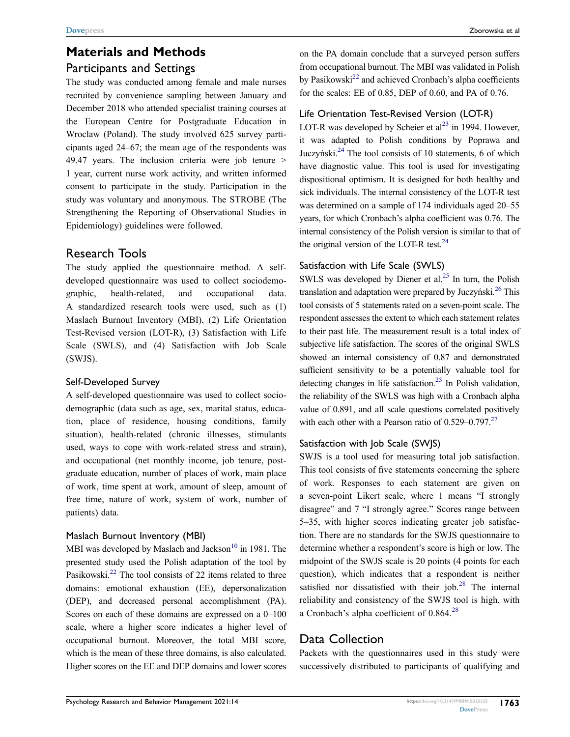## **Materials and Methods** Participants and Settings

The study was conducted among female and male nurses recruited by convenience sampling between January and December 2018 who attended specialist training courses at the European Centre for Postgraduate Education in Wroclaw (Poland). The study involved 625 survey participants aged 24–67; the mean age of the respondents was 49.47 years. The inclusion criteria were job tenure > 1 year, current nurse work activity, and written informed consent to participate in the study. Participation in the study was voluntary and anonymous. The STROBE (The Strengthening the Reporting of Observational Studies in Epidemiology) guidelines were followed.

### Research Tools

The study applied the questionnaire method. A selfdeveloped questionnaire was used to collect sociodemographic, health-related, and occupational data. A standardized research tools were used, such as (1) Maslach Burnout Inventory (MBI), (2) Life Orientation Test-Revised version (LOT-R), (3) Satisfaction with Life Scale (SWLS), and (4) Satisfaction with Job Scale (SWJS).

#### Self-Developed Survey

A self-developed questionnaire was used to collect sociodemographic (data such as age, sex, marital status, education, place of residence, housing conditions, family situation), health-related (chronic illnesses, stimulants used, ways to cope with work-related stress and strain), and occupational (net monthly income, job tenure, postgraduate education, number of places of work, main place of work, time spent at work, amount of sleep, amount of free time, nature of work, system of work, number of patients) data.

#### Maslach Burnout Inventory (MBI)

MBI was developed by Maslach and Jackson<sup>10</sup> in 1981. The presented study used the Polish adaptation of the tool by Pasikowski<sup>22</sup> The tool consists of 22 items related to three domains: emotional exhaustion (EE), depersonalization (DEP), and decreased personal accomplishment (PA). Scores on each of these domains are expressed on a 0–100 scale, where a higher score indicates a higher level of occupational burnout. Moreover, the total MBI score, which is the mean of these three domains, is also calculated. Higher scores on the EE and DEP domains and lower scores <span id="page-2-0"></span>on the PA domain conclude that a surveyed person suffers from occupational burnout. The MBI was validated in Polish by Pasikowski<sup>22</sup> and achieved Cronbach's alpha coefficients for the scales: EE of 0.85, DEP of 0.60, and PA of 0.76.

#### Life Orientation Test-Revised Version (LOT-R)

<span id="page-2-1"></span>LOT-R was developed by Scheier et  $al<sup>23</sup>$  in 1994. However, it was adapted to Polish conditions by Poprawa and Juczyński.[24](#page-15-8) The tool consists of 10 statements, 6 of which have diagnostic value. This tool is used for investigating dispositional optimism. It is designed for both healthy and sick individuals. The internal consistency of the LOT-R test was determined on a sample of 174 individuals aged 20–55 years, for which Cronbach's alpha coefficient was 0.76. The internal consistency of the Polish version is similar to that of the original version of the LOT-R test. $^{24}$  $^{24}$  $^{24}$ 

#### <span id="page-2-2"></span>Satisfaction with Life Scale (SWLS)

<span id="page-2-4"></span>SWLS was developed by Diener et al. $^{25}$  In turn, the Polish translation and adaptation were prepared by Juczyński.<sup>26</sup> This tool consists of 5 statements rated on a seven-point scale. The respondent assesses the extent to which each statement relates to their past life. The measurement result is a total index of subjective life satisfaction. The scores of the original SWLS showed an internal consistency of 0.87 and demonstrated sufficient sensitivity to be a potentially valuable tool for detecting changes in life satisfaction.<sup>25</sup> In Polish validation, the reliability of the SWLS was high with a Cronbach alpha value of 0.891, and all scale questions correlated positively with each other with a Pearson ratio of  $0.529-0.797^{27}$ .

#### <span id="page-2-5"></span><span id="page-2-3"></span>Satisfaction with Job Scale (SWJS)

SWJS is a tool used for measuring total job satisfaction. This tool consists of five statements concerning the sphere of work. Responses to each statement are given on a seven-point Likert scale, where 1 means "I strongly disagree" and 7 "I strongly agree." Scores range between 5–35, with higher scores indicating greater job satisfaction. There are no standards for the SWJS questionnaire to determine whether a respondent's score is high or low. The midpoint of the SWJS scale is 20 points (4 points for each question), which indicates that a respondent is neither satisfied nor dissatisfied with their job.<sup>28</sup> The internal reliability and consistency of the SWJS tool is high, with a Cronbach's alpha coefficient of 0.864.[28](#page-15-12)

### <span id="page-2-6"></span>Data Collection

Packets with the questionnaires used in this study were successively distributed to participants of qualifying and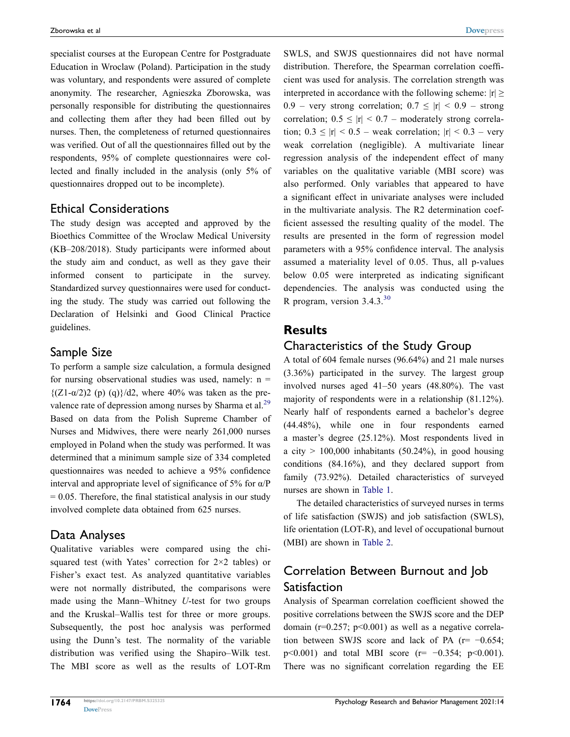specialist courses at the European Centre for Postgraduate Education in Wroclaw (Poland). Participation in the study was voluntary, and respondents were assured of complete anonymity. The researcher, Agnieszka Zborowska, was personally responsible for distributing the questionnaires and collecting them after they had been filled out by nurses. Then, the completeness of returned questionnaires was verified. Out of all the questionnaires filled out by the respondents, 95% of complete questionnaires were collected and finally included in the analysis (only 5% of questionnaires dropped out to be incomplete).

### Ethical Considerations

The study design was accepted and approved by the Bioethics Committee of the Wroclaw Medical University (KB–208/2018). Study participants were informed about the study aim and conduct, as well as they gave their informed consent to participate in the survey. Standardized survey questionnaires were used for conducting the study. The study was carried out following the Declaration of Helsinki and Good Clinical Practice guidelines.

### Sample Size

<span id="page-3-0"></span>To perform a sample size calculation, a formula designed for nursing observational studies was used, namely:  $n =$  $\{(Z1-\alpha/2)2 \text{ (p) (q)}\}/d2$ , where 40% was taken as the prevalence rate of depression among nurses by Sharma et al.<sup>29</sup> Based on data from the Polish Supreme Chamber of Nurses and Midwives, there were nearly 261,000 nurses employed in Poland when the study was performed. It was determined that a minimum sample size of 334 completed questionnaires was needed to achieve a 95% confidence interval and appropriate level of significance of 5% for α/P  $= 0.05$ . Therefore, the final statistical analysis in our study involved complete data obtained from 625 nurses.

### Data Analyses

Qualitative variables were compared using the chisquared test (with Yates' correction for 2×2 tables) or Fisher's exact test. As analyzed quantitative variables were not normally distributed, the comparisons were made using the Mann–Whitney *U*-test for two groups and the Kruskal–Wallis test for three or more groups. Subsequently, the post hoc analysis was performed using the Dunn's test. The normality of the variable distribution was verified using the Shapiro–Wilk test. The MBI score as well as the results of LOT-Rm SWLS, and SWJS questionnaires did not have normal distribution. Therefore, the Spearman correlation coefficient was used for analysis. The correlation strength was interpreted in accordance with the following scheme:  $|r| \ge$ 0.9 – very strong correlation;  $0.7 \leq |r| < 0.9$  – strong correlation;  $0.5 \leq |r| < 0.7$  – moderately strong correlation;  $0.3 \leq |r| < 0.5$  – weak correlation;  $|r| < 0.3$  – very weak correlation (negligible). A multivariate linear regression analysis of the independent effect of many variables on the qualitative variable (MBI score) was also performed. Only variables that appeared to have a significant effect in univariate analyses were included in the multivariate analysis. The R2 determination coefficient assessed the resulting quality of the model. The results are presented in the form of regression model parameters with a 95% confidence interval. The analysis assumed a materiality level of 0.05. Thus, all p-values below 0.05 were interpreted as indicating significant dependencies. The analysis was conducted using the R program, version  $3.4.3^{30}$  $3.4.3^{30}$  $3.4.3^{30}$ 

### <span id="page-3-1"></span>**Results**

### Characteristics of the Study Group

A total of 604 female nurses (96.64%) and 21 male nurses (3.36%) participated in the survey. The largest group involved nurses aged 41–50 years (48.80%). The vast majority of respondents were in a relationship (81.12%). Nearly half of respondents earned a bachelor's degree (44.48%), while one in four respondents earned a master's degree (25.12%). Most respondents lived in a city  $> 100,000$  inhabitants (50.24%), in good housing conditions (84.16%), and they declared support from family (73.92%). Detailed characteristics of surveyed nurses are shown in [Table 1.](#page-4-0)

The detailed characteristics of surveyed nurses in terms of life satisfaction (SWJS) and job satisfaction (SWLS), life orientation (LOT-R), and level of occupational burnout (MBI) are shown in [Table 2.](#page-6-0)

### Correlation Between Burnout and Job Satisfaction

Analysis of Spearman correlation coefficient showed the positive correlations between the SWJS score and the DEP domain ( $r=0.257$ ;  $p<0.001$ ) as well as a negative correlation between SWJS score and lack of PA ( $r = -0.654$ ; p<0.001) and total MBI score (r= −0.354; p<0.001). There was no significant correlation regarding the EE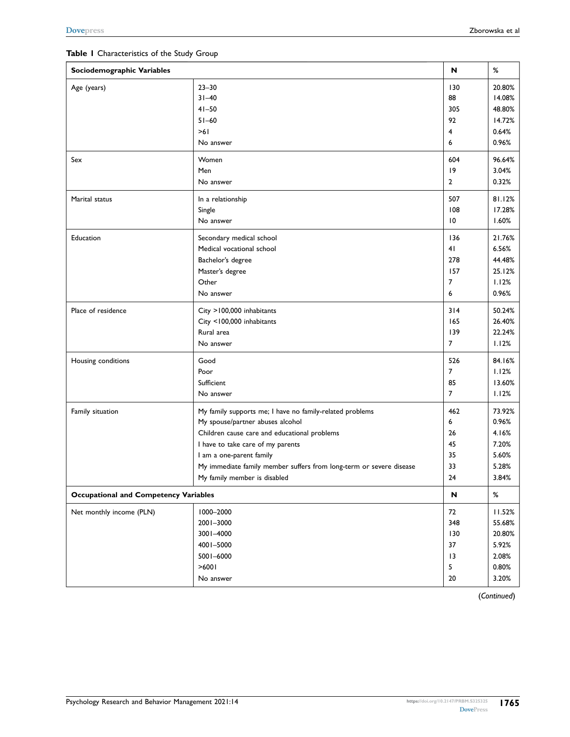<span id="page-4-0"></span>

| Sociodemographic Variables                   | N                                                                   | $\%$           |        |
|----------------------------------------------|---------------------------------------------------------------------|----------------|--------|
| Age (years)                                  | $23 - 30$                                                           | 130            | 20.80% |
|                                              | $31 - 40$                                                           | 88             | 14.08% |
|                                              | $41 - 50$                                                           | 305            | 48.80% |
|                                              | $51 - 60$                                                           | 92             | 14.72% |
|                                              | >61                                                                 | 4              | 0.64%  |
|                                              | No answer                                                           | 6              | 0.96%  |
| Sex                                          | Women                                                               | 604            | 96.64% |
|                                              | Men                                                                 | 9              | 3.04%  |
|                                              | No answer                                                           | $\overline{2}$ | 0.32%  |
| Marital status                               | In a relationship                                                   | 507            | 81.12% |
|                                              | Single                                                              | 108            | 17.28% |
|                                              | No answer                                                           | 10             | 1.60%  |
| Education                                    | Secondary medical school                                            | 136            | 21.76% |
|                                              | Medical vocational school                                           | 41             | 6.56%  |
|                                              | Bachelor's degree                                                   | 278            | 44.48% |
|                                              | Master's degree                                                     | 157            | 25.12% |
|                                              | Other                                                               | 7              | 1.12%  |
|                                              | No answer                                                           | 6              | 0.96%  |
| Place of residence                           | City >100,000 inhabitants                                           | 314            | 50.24% |
|                                              | City <100,000 inhabitants                                           | 165            | 26.40% |
|                                              | Rural area                                                          | 139            | 22.24% |
|                                              | No answer                                                           | $\overline{7}$ | 1.12%  |
| Housing conditions                           | Good                                                                | 526            | 84.16% |
|                                              | Poor                                                                | $\overline{7}$ | 1.12%  |
|                                              | Sufficient                                                          | 85             | 13.60% |
|                                              | No answer                                                           | $\overline{7}$ | 1.12%  |
| Family situation                             | My family supports me; I have no family-related problems            | 462            | 73.92% |
|                                              | My spouse/partner abuses alcohol                                    | 6              | 0.96%  |
|                                              | Children cause care and educational problems                        | 26             | 4.16%  |
|                                              | I have to take care of my parents                                   | 45             | 7.20%  |
|                                              | I am a one-parent family                                            | 35             | 5.60%  |
|                                              | My immediate family member suffers from long-term or severe disease | 33             | 5.28%  |
|                                              | My family member is disabled                                        | 24             | 3.84%  |
| <b>Occupational and Competency Variables</b> |                                                                     | N              | %      |
| Net monthly income (PLN)                     | 1000-2000                                                           | 72             | 11.52% |
|                                              | 2001-3000                                                           | 348            | 55.68% |
|                                              | 3001-4000                                                           | 130            | 20.80% |
|                                              | 4001-5000                                                           | 37             | 5.92%  |
|                                              | 5001-6000                                                           | 13             | 2.08%  |
|                                              | >6001                                                               | 5              | 0.80%  |
|                                              | No answer                                                           | $20\,$         | 3.20%  |

**[Dovepress](https://www.dovepress.com)** Zborowska et al

(*Continued*)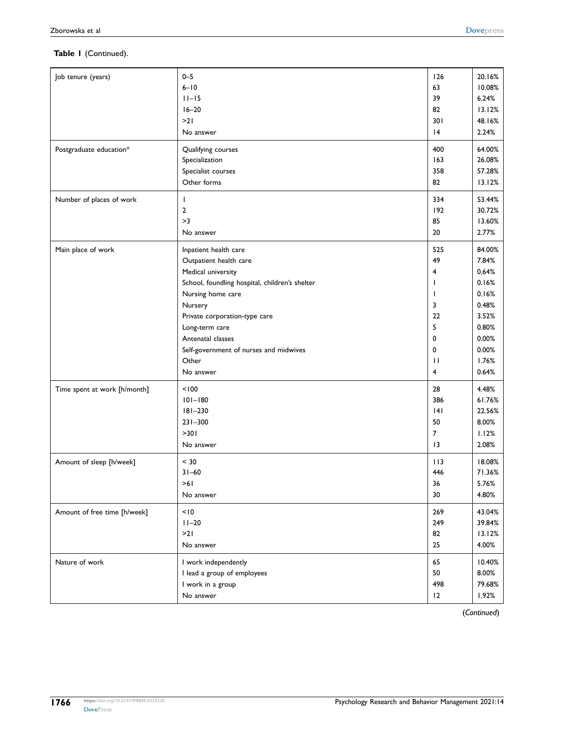#### **Table 1** (Continued).

| Job tenure (years)<br>Postgraduate education*            | $0 - 5$<br>$6 - 10$<br>$11 - 15$<br>$16 - 20$<br>>21<br>No answer<br>Qualifying courses<br>Specialization<br>Specialist courses<br>Other forms | 126<br>63<br>39<br>82<br>301<br> 4<br>400<br>163<br>358<br>82 | 20.16%<br>10.08%<br>6.24%<br>13.12%<br>48.16%<br>2.24%<br>64.00%<br>26.08%<br>57.28%<br>13.12% |
|----------------------------------------------------------|------------------------------------------------------------------------------------------------------------------------------------------------|---------------------------------------------------------------|------------------------------------------------------------------------------------------------|
| Number of places of work                                 | T                                                                                                                                              | 334                                                           | 53.44%                                                                                         |
|                                                          | $\overline{2}$                                                                                                                                 | 192                                                           | 30.72%                                                                                         |
|                                                          | >3                                                                                                                                             | 85                                                            | 13.60%                                                                                         |
|                                                          | No answer                                                                                                                                      | 20                                                            | 2.77%                                                                                          |
| Main place of work                                       | Inpatient health care                                                                                                                          | 525                                                           | 84.00%                                                                                         |
|                                                          | Outpatient health care                                                                                                                         | 49                                                            | 7.84%                                                                                          |
|                                                          | Medical university                                                                                                                             | 4                                                             | 0.64%                                                                                          |
|                                                          | School, foundling hospital, children's shelter                                                                                                 | $\mathbf{I}$                                                  | 0.16%                                                                                          |
|                                                          | Nursing home care                                                                                                                              | $\mathbf{I}$                                                  | 0.16%                                                                                          |
|                                                          | Nursery                                                                                                                                        | 3                                                             | 0.48%                                                                                          |
|                                                          | Private corporation-type care                                                                                                                  | 22                                                            | 3.52%                                                                                          |
|                                                          | Long-term care                                                                                                                                 | 5                                                             | 0.80%                                                                                          |
|                                                          | Antenatal classes                                                                                                                              | 0                                                             | 0.00%                                                                                          |
|                                                          | Self-government of nurses and midwives                                                                                                         | 0                                                             | 0.00%                                                                                          |
|                                                          | Other                                                                                                                                          | $\mathbf{H}$                                                  | 1.76%                                                                                          |
|                                                          | No answer                                                                                                                                      | 4                                                             | 0.64%                                                                                          |
| Time spent at work [h/month]<br>Amount of sleep [h/week] | < 100<br>$101 - 180$<br>$181 - 230$<br>$231 - 300$<br>>301<br>No answer<br>< 30                                                                | 28<br>386<br> 4 <br>50<br>$\overline{7}$<br>13<br>113         | 4.48%<br>61.76%<br>22.56%<br>8.00%<br>1.12%<br>2.08%<br>18.08%                                 |
|                                                          | $31 - 60$                                                                                                                                      | 446                                                           | 71.36%                                                                                         |
|                                                          | >61                                                                                                                                            | 36                                                            | 5.76%                                                                                          |
|                                                          | No answer                                                                                                                                      | 30                                                            | 4.80%                                                                                          |
| Amount of free time [h/week]                             | < 10                                                                                                                                           | 269                                                           | 43.04%                                                                                         |
|                                                          | $11 - 20$                                                                                                                                      | 249                                                           | 39.84%                                                                                         |
|                                                          | >21                                                                                                                                            | 82                                                            | 13.12%                                                                                         |
|                                                          | No answer                                                                                                                                      | 25                                                            | 4.00%                                                                                          |
| Nature of work                                           | I work independently                                                                                                                           | 65                                                            | 10.40%                                                                                         |
|                                                          | I lead a group of employees                                                                                                                    | 50                                                            | 8.00%                                                                                          |
|                                                          | I work in a group                                                                                                                              | 498                                                           | 79.68%                                                                                         |
|                                                          | No answer                                                                                                                                      | 12                                                            | 1.92%                                                                                          |

(*Continued*)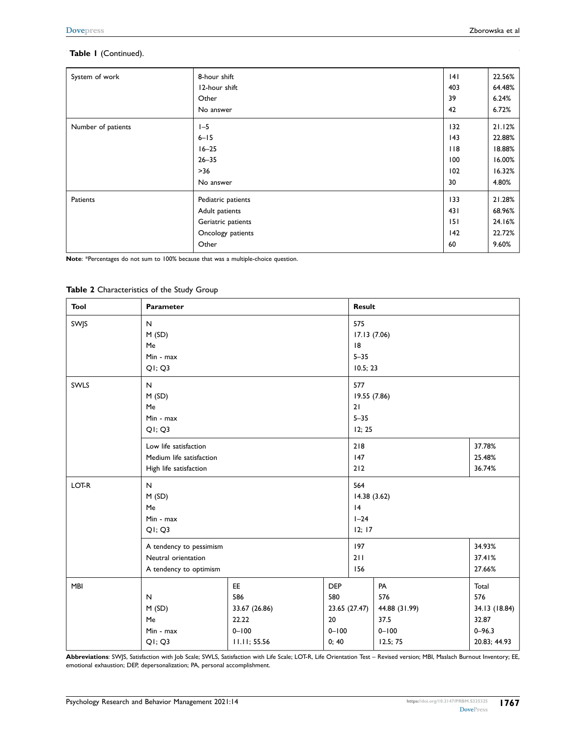#### **Table 1** (Continued).

System of work

Number of patients

| 8-hour shift  | 4   | 22.56% |
|---------------|-----|--------|
| 12-hour shift | 403 | 64.48% |
| Other         | 39  | 6.24%  |
| No answer     | 42  | 6.72%  |
| $I - 5$       | 132 | 21.12% |
| $6 - 15$      | 43  | 22.88% |
| $16 - 25$     | 118 | 18.88% |

|          | $0 - 13$           | 145         | <b>44.00%</b> |
|----------|--------------------|-------------|---------------|
|          | $16 - 25$          | $ $ $ $ $ $ | 18.88%        |
|          | $26 - 35$          | 100         | 16.00%        |
|          | >36                | 102         | 16.32%        |
|          | No answer          | 30          | 4.80%         |
| Patients | Pediatric patients | 133         | 21.28%        |
|          | Adult patients     | 431         | 68.96%        |
|          | Geriatric patients | 151         | 24.16%        |
|          | Oncology patients  | 142         | 22.72%        |
|          | Other              | 60          | 9.60%         |
|          |                    |             |               |

**Note**: \*Percentages do not sum to 100% because that was a multiple-choice question.

#### <span id="page-6-0"></span>**Table 2** Characteristics of the Study Group

| <b>Tool</b> | Parameter                                                                   |                                                                  |                                               |                                                   | Result                                                      |                                                                      |  |  |
|-------------|-----------------------------------------------------------------------------|------------------------------------------------------------------|-----------------------------------------------|---------------------------------------------------|-------------------------------------------------------------|----------------------------------------------------------------------|--|--|
| SWJS        | N<br>M(SD)<br>Me<br>Min - max<br>Q1; Q3                                     |                                                                  |                                               | 575<br>17.13 (7.06)<br> 8<br>$5 - 35$<br>10.5; 23 |                                                             |                                                                      |  |  |
| SWLS        | $\mathsf{N}$<br>M(SD)<br>Me<br>Min - max<br>Q1; Q3                          |                                                                  |                                               | 577<br>19.55 (7.86)<br>21<br>$5 - 35$<br>12; 25   |                                                             |                                                                      |  |  |
|             | Low life satisfaction<br>Medium life satisfaction<br>High life satisfaction |                                                                  |                                               | 218<br>37.78%<br>147<br>25.48%<br>212<br>36.74%   |                                                             |                                                                      |  |  |
| LOT-R       | $\mathsf{N}$<br>M(SD)<br>Me<br>Min - max<br>Q1; Q3                          |                                                                  |                                               |                                                   | 564<br>14.38(3.62)<br> 4<br>$I-24$<br>12; 17                |                                                                      |  |  |
|             | A tendency to pessimism<br>Neutral orientation<br>A tendency to optimism    |                                                                  |                                               | 197<br>211<br>156                                 | 34.93%<br>37.41%<br>27.66%                                  |                                                                      |  |  |
| <b>MBI</b>  | $\mathsf{N}$<br>M(SD)<br>Me<br>Min - max<br>Q1; Q3                          | EE<br>586<br>33.67 (26.86)<br>22.22<br>$0 - 100$<br>11.11; 55.56 | <b>DEP</b><br>580<br>20<br>$0 - 100$<br>0; 40 | 23.65 (27.47)                                     | PA<br>576<br>44.88 (31.99)<br>37.5<br>$0 - 100$<br>12.5; 75 | Total<br>576<br>34.13 (18.84)<br>32.87<br>$0 - 96.3$<br>20.83; 44.93 |  |  |

**Abbreviations**: SWJS, Satisfaction with Job Scale; SWLS, Satisfaction with Life Scale; LOT-R, Life Orientation Test – Revised version; MBI, Maslach Burnout Inventory; EE, emotional exhaustion; DEP, depersonalization; PA, personal accomplishment.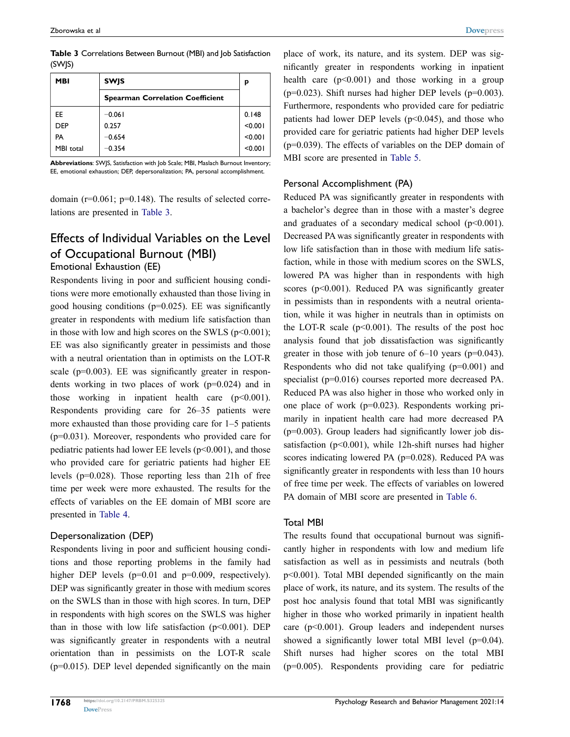<span id="page-7-0"></span>

|        | <b>Table 3</b> Correlations Between Burnout (MBI) and Job Satisfaction |  |  |
|--------|------------------------------------------------------------------------|--|--|
| (SWJS) |                                                                        |  |  |

| <b>MBI</b> | <b>SWIS</b>                             | р       |
|------------|-----------------------------------------|---------|
|            | <b>Spearman Correlation Coefficient</b> |         |
| EE.        | $-0.061$                                | 0.148   |
| <b>DEP</b> | 0.257                                   | < 0.001 |
| PA         | $-0.654$                                | < 0.001 |
| MBI total  | $-0.354$                                | < 0.001 |

**Abbreviations**: SWJS, Satisfaction with Job Scale; MBI, Maslach Burnout Inventory; EE, emotional exhaustion; DEP, depersonalization; PA, personal accomplishment.

domain (r=0.061; p=0.148). The results of selected correlations are presented in [Table 3.](#page-7-0)

### Effects of Individual Variables on the Level of Occupational Burnout (MBI) Emotional Exhaustion (EE)

Respondents living in poor and sufficient housing conditions were more emotionally exhausted than those living in good housing conditions (p=0.025). EE was significantly greater in respondents with medium life satisfaction than in those with low and high scores on the SWLS (p<0.001); EE was also significantly greater in pessimists and those with a neutral orientation than in optimists on the LOT-R scale  $(p=0.003)$ . EE was significantly greater in respondents working in two places of work (p=0.024) and in those working in inpatient health care  $(p<0.001)$ . Respondents providing care for 26–35 patients were more exhausted than those providing care for 1–5 patients (p=0.031). Moreover, respondents who provided care for pediatric patients had lower EE levels  $(p<0.001)$ , and those who provided care for geriatric patients had higher EE levels (p=0.028). Those reporting less than 21h of free time per week were more exhausted. The results for the effects of variables on the EE domain of MBI score are presented in [Table 4](#page-8-0).

#### Depersonalization (DEP)

Respondents living in poor and sufficient housing conditions and those reporting problems in the family had higher DEP levels (p=0.01 and p=0.009, respectively). DEP was significantly greater in those with medium scores on the SWLS than in those with high scores. In turn, DEP in respondents with high scores on the SWLS was higher than in those with low life satisfaction  $(p<0.001)$ . DEP was significantly greater in respondents with a neutral orientation than in pessimists on the LOT-R scale (p=0.015). DEP level depended significantly on the main place of work, its nature, and its system. DEP was significantly greater in respondents working in inpatient health care  $(p<0.001)$  and those working in a group ( $p=0.023$ ). Shift nurses had higher DEP levels ( $p=0.003$ ). Furthermore, respondents who provided care for pediatric patients had lower DEP levels  $(p<0.045)$ , and those who provided care for geriatric patients had higher DEP levels (p=0.039). The effects of variables on the DEP domain of MBI score are presented in [Table 5.](#page-9-0)

#### Personal Accomplishment (PA)

Reduced PA was significantly greater in respondents with a bachelor's degree than in those with a master's degree and graduates of a secondary medical school  $(p<0.001)$ . Decreased PA was significantly greater in respondents with low life satisfaction than in those with medium life satisfaction, while in those with medium scores on the SWLS, lowered PA was higher than in respondents with high scores (p<0.001). Reduced PA was significantly greater in pessimists than in respondents with a neutral orientation, while it was higher in neutrals than in optimists on the LOT-R scale ( $p<0.001$ ). The results of the post hoc analysis found that job dissatisfaction was significantly greater in those with job tenure of  $6-10$  years ( $p=0.043$ ). Respondents who did not take qualifying  $(p=0.001)$  and specialist (p=0.016) courses reported more decreased PA. Reduced PA was also higher in those who worked only in one place of work (p=0.023). Respondents working primarily in inpatient health care had more decreased PA  $(p=0.003)$ . Group leaders had significantly lower job dissatisfaction ( $p<0.001$ ), while 12h-shift nurses had higher scores indicating lowered PA (p=0.028). Reduced PA was significantly greater in respondents with less than 10 hours of free time per week. The effects of variables on lowered PA domain of MBI score are presented in [Table 6](#page-10-0).

#### Total MBI

The results found that occupational burnout was significantly higher in respondents with low and medium life satisfaction as well as in pessimists and neutrals (both p<0.001). Total MBI depended significantly on the main place of work, its nature, and its system. The results of the post hoc analysis found that total MBI was significantly higher in those who worked primarily in inpatient health care (p<0.001). Group leaders and independent nurses showed a significantly lower total MBI level (p=0.04). Shift nurses had higher scores on the total MBI (p=0.005). Respondents providing care for pediatric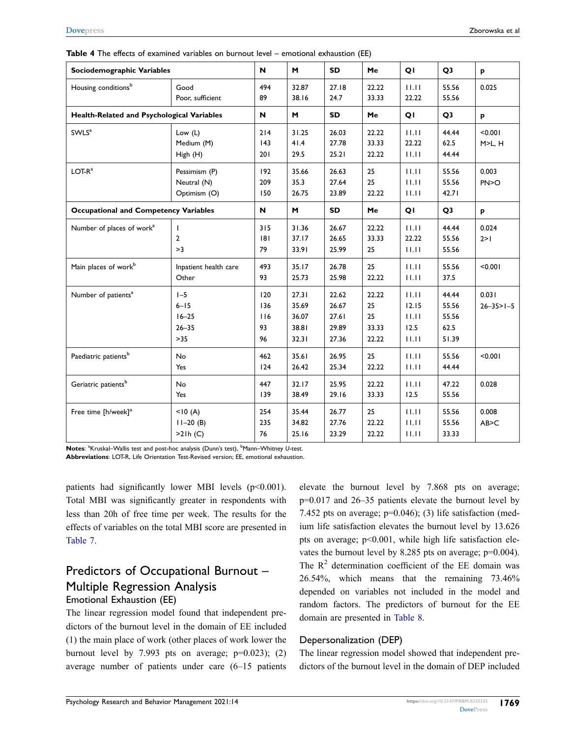| Sociodemographic Variables                   |                                                        | N                             | M                                         | <b>SD</b>                                 | Me                                  | QI                                       | Q <sub>3</sub>                           | P                          |
|----------------------------------------------|--------------------------------------------------------|-------------------------------|-------------------------------------------|-------------------------------------------|-------------------------------------|------------------------------------------|------------------------------------------|----------------------------|
| Housing conditions <sup>b</sup>              | Good<br>Poor, sufficient                               | 494<br>89                     | 32.87<br>38.16                            | 27.18<br>24.7                             | 22.22<br>33.33                      | 11.11<br>22.22                           | 55.56<br>55.56                           | 0.025                      |
| Health-Related and Psychological Variables   |                                                        | N                             | M                                         | <b>SD</b>                                 | Me                                  | QI                                       | Q <sub>3</sub>                           | p                          |
| SWLS <sup>a</sup>                            | Low $(L)$<br>Medium (M)<br>High (H)                    | 214<br> 43<br>201             | 31.25<br>41.4<br>29.5                     | 26.03<br>27.78<br>25.21                   | 22.22<br>33.33<br>22.22             | 11.11<br>22.22<br>11.11                  | 44.44<br>62.5<br>44.44                   | < 0.001<br>M>L, H          |
| $LOT-Ra$                                     | Pessimism (P)<br>Neutral (N)<br>Optimism (O)           | 192<br>209<br>150             | 35.66<br>35.3<br>26.75                    | 26.63<br>27.64<br>23.89                   | 25<br>25<br>22.22                   | 11.11<br>11.11<br>11.11                  | 55.56<br>55.56<br>42.71                  | 0.003<br>PN>O              |
| <b>Occupational and Competency Variables</b> |                                                        | N                             | M                                         | <b>SD</b>                                 | Me                                  | QI                                       | Q <sub>3</sub>                           | p                          |
| Number of places of work <sup>a</sup>        | $\mathbf{I}$<br>$\overline{2}$<br>>3                   | 315<br> 8 <br>79              | 31.36<br>37.17<br>33.91                   | 26.67<br>26.65<br>25.99                   | 22.22<br>33.33<br>25                | 11.11<br>22.22<br>11.11                  | 44.44<br>55.56<br>55.56                  | 0.024<br>2 > 1             |
| Main places of work <sup>b</sup>             | Inpatient health care<br>Other                         | 493<br>93                     | 35.17<br>25.73                            | 26.78<br>25.98                            | 25<br>22.22                         | 11.11<br>11.11                           | 55.56<br>37.5                            | < 0.001                    |
| Number of patients <sup>a</sup>              | $I - 5$<br>$6 - 15$<br>$16 - 25$<br>$26 - 35$<br>$>35$ | 120<br>136<br>116<br>93<br>96 | 27.31<br>35.69<br>36.07<br>38.81<br>32.31 | 22.62<br>26.67<br>27.61<br>29.89<br>27.36 | 22.22<br>25<br>25<br>33.33<br>22.22 | 11.11<br>12.15<br>11.11<br>12.5<br>11.11 | 44.44<br>55.56<br>55.56<br>62.5<br>51.39 | 0.031<br>$26 - 35 > 1 - 5$ |
| Paediatric patients <sup>b</sup>             | No<br>Yes                                              | 462<br>124                    | 35.61<br>26.42                            | 26.95<br>25.34                            | 25<br>22.22                         | 11.11<br>11.11                           | 55.56<br>44.44                           | < 0.001                    |
| Geriatric patients <sup>b</sup>              | <b>No</b><br>Yes                                       | 447<br>139                    | 32.17<br>38.49                            | 25.95<br>29.16                            | 22.22<br>33.33                      | 11.11<br>12.5                            | 47.22<br>55.56                           | 0.028                      |
| Free time [h/week] <sup>a</sup>              | < 10(A)<br>$11 - 20(B)$<br>>21h(C)                     | 254<br>235<br>76              | 35.44<br>34.82<br>25.16                   | 26.77<br>27.76<br>23.29                   | 25<br>22.22<br>22.22                | 11.11<br>11.11<br>11.11                  | 55.56<br>55.56<br>33.33                  | 0.008<br>AB > C            |

<span id="page-8-0"></span>

|  |  |  |  |  | Table 4 The effects of examined variables on burnout level - emotional exhaustion (EE) |
|--|--|--|--|--|----------------------------------------------------------------------------------------|
|--|--|--|--|--|----------------------------------------------------------------------------------------|

Notes: <sup>a</sup>Kruskal–Wallis test and post-hoc analysis (Dunn's test), <sup>b</sup>Mann–Whitney U-test. **Abbreviations**: LOT-R, Life Orientation Test-Revised version; EE, emotional exhaustion.

patients had significantly lower MBI levels (p<0.001). Total MBI was significantly greater in respondents with less than 20h of free time per week. The results for the effects of variables on the total MBI score are presented in [Table 7](#page-11-0).

### Predictors of Occupational Burnout – Multiple Regression Analysis Emotional Exhaustion (EE)

### The linear regression model found that independent predictors of the burnout level in the domain of EE included (1) the main place of work (other places of work lower the burnout level by 7.993 pts on average;  $p=0.023$ ; (2) average number of patients under care (6–15 patients

elevate the burnout level by 7.868 pts on average; p=0.017 and 26–35 patients elevate the burnout level by 7.452 pts on average;  $p=0.046$ ); (3) life satisfaction (medium life satisfaction elevates the burnout level by 13.626 pts on average; p<0.001, while high life satisfaction elevates the burnout level by 8.285 pts on average; p=0.004). The  $R<sup>2</sup>$  determination coefficient of the EE domain was 26.54%, which means that the remaining 73.46% depended on variables not included in the model and random factors. The predictors of burnout for the EE domain are presented in [Table 8.](#page-12-0)

### Depersonalization (DEP)

The linear regression model showed that independent predictors of the burnout level in the domain of DEP included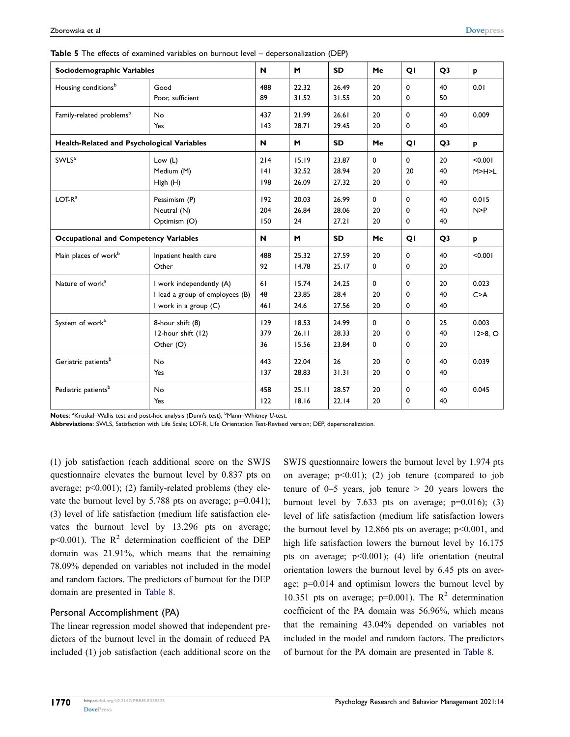| Sociodemographic Variables                   |                                                                                        | N                 | M                       | <b>SD</b>               | Me                   | QI                            | Q <sub>3</sub> | p                     |
|----------------------------------------------|----------------------------------------------------------------------------------------|-------------------|-------------------------|-------------------------|----------------------|-------------------------------|----------------|-----------------------|
| Housing conditions <sup>b</sup>              | Good<br>Poor, sufficient                                                               | 488<br>89         | 22.32<br>31.52          | 26.49<br>31.55          | 20<br>20             | 0<br>0                        | 40<br>50       | 0.01                  |
| Family-related problems <sup>b</sup>         | <b>No</b><br>Yes                                                                       | 437<br> 43        | 21.99<br>28.71          | 26.61<br>29.45          | 20<br>20             | 0<br>0                        | 40<br>40       | 0.009                 |
| Health-Related and Psychological Variables   |                                                                                        | N                 | M                       | <b>SD</b>               | Me                   | QI                            | Q <sub>3</sub> | p                     |
| SWLS <sup>a</sup>                            | Low $(L)$<br>Medium (M)<br>High (H)                                                    | 214<br> 4 <br>198 | 15.19<br>32.52<br>26.09 | 23.87<br>28.94<br>27.32 | 0<br>20<br>20        | $\mathbf{0}$<br>20<br>0       | 20<br>40<br>40 | < 0.001<br>M>H>L      |
| $LOT-Ra$                                     | Pessimism (P)<br>Neutral (N)<br>Optimism (O)                                           | 192<br>204<br>150 | 20.03<br>26.84<br>24    | 26.99<br>28.06<br>27.21 | $\Omega$<br>20<br>20 | 0<br>0<br>0                   | 40<br>40<br>40 | 0.015<br>N > P        |
| <b>Occupational and Competency Variables</b> |                                                                                        | $\mathbf N$       | M                       | <b>SD</b>               | Me                   | QI                            | Q <sub>3</sub> | p                     |
| Main places of work <sup>b</sup>             | Inpatient health care<br>Other                                                         | 488<br>92         | 25.32<br>14.78          | 27.59<br>25.17          | 20<br>0              | 0<br>0                        | 40<br>20       | < 0.001               |
| Nature of work <sup>a</sup>                  | I work independently (A)<br>I lead a group of employees (B)<br>I work in a group $(C)$ | 61<br>48<br>461   | 15.74<br>23.85<br>24.6  | 24.25<br>28.4<br>27.56  | $\Omega$<br>20<br>20 | $\Omega$<br>0<br>$\mathbf{0}$ | 20<br>40<br>40 | 0.023<br>C > A        |
| System of work <sup>a</sup>                  | 8-hour shift (8)<br>12-hour shift (12)<br>Other (O)                                    | 129<br>379<br>36  | 18.53<br>26.11<br>15.56 | 24.99<br>28.33<br>23.84 | $\Omega$<br>20<br>0  | $\Omega$<br>0<br>$\mathbf{0}$ | 25<br>40<br>20 | 0.003<br>$12 > 8$ , O |
| Geriatric patients <sup>b</sup>              | <b>No</b><br>Yes                                                                       | 443<br>137        | 22.04<br>28.83          | 26<br>31.31             | 20<br>20             | 0<br>0                        | 40<br>40       | 0.039                 |
| Pediatric patients <sup>b</sup>              | <b>No</b><br>Yes                                                                       | 458<br>122        | 25.11<br>18.16          | 28.57<br>22.14          | 20<br>20             | 0<br>0                        | 40<br>40       | 0.045                 |

<span id="page-9-0"></span>

| Table 5 The effects of examined variables on burnout level - depersonalization (DEP) |  |  |  |  |  |  |
|--------------------------------------------------------------------------------------|--|--|--|--|--|--|
|--------------------------------------------------------------------------------------|--|--|--|--|--|--|

Notes: <sup>a</sup>Kruskal–Wallis test and post-hoc analysis (Dunn's test), <sup>b</sup>Mann–Whitney U-test.

**Abbreviations**: SWLS, Satisfaction with Life Scale; LOT-R, Life Orientation Test-Revised version; DEP, depersonalization.

(1) job satisfaction (each additional score on the SWJS questionnaire elevates the burnout level by 0.837 pts on average;  $p<0.001$ ); (2) family-related problems (they elevate the burnout level by 5.788 pts on average; p=0.041); (3) level of life satisfaction (medium life satisfaction elevates the burnout level by 13.296 pts on average;  $p<0.001$ ). The R<sup>2</sup> determination coefficient of the DEP domain was 21.91%, which means that the remaining 78.09% depended on variables not included in the model and random factors. The predictors of burnout for the DEP domain are presented in [Table 8.](#page-12-0)

#### Personal Accomplishment (PA)

The linear regression model showed that independent predictors of the burnout level in the domain of reduced PA included (1) job satisfaction (each additional score on the SWJS questionnaire lowers the burnout level by 1.974 pts on average;  $p<0.01$ ); (2) job tenure (compared to job tenure of  $0-5$  years, job tenure  $> 20$  years lowers the burnout level by 7.633 pts on average;  $p=0.016$ ; (3) level of life satisfaction (medium life satisfaction lowers the burnout level by 12.866 pts on average;  $p<0.001$ , and high life satisfaction lowers the burnout level by 16.175 pts on average; p<0.001); (4) life orientation (neutral orientation lowers the burnout level by 6.45 pts on average; p=0.014 and optimism lowers the burnout level by 10.351 pts on average;  $p=0.001$ ). The R<sup>2</sup> determination coefficient of the PA domain was 56.96%, which means that the remaining 43.04% depended on variables not included in the model and random factors. The predictors of burnout for the PA domain are presented in [Table 8](#page-12-0).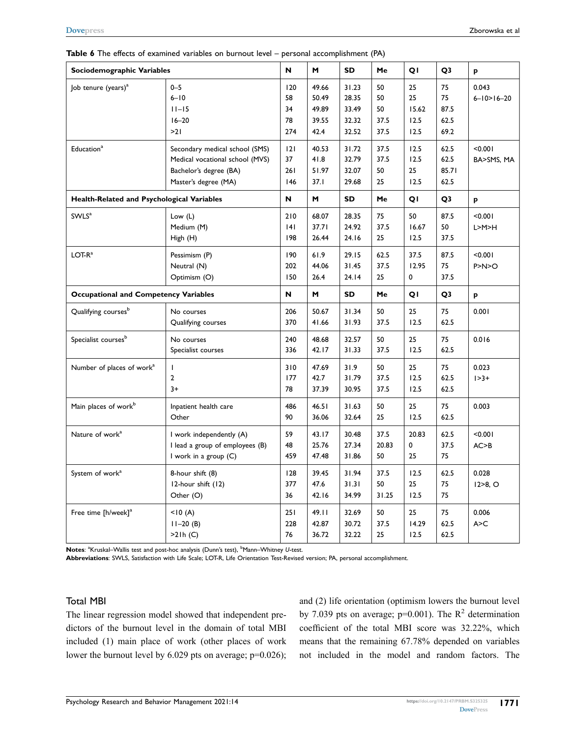| Sociodemographic Variables                 |                                                                                                                     | N                            | M                                        | SD                                        | Me                             | QI                                | Q3                               | p                           |
|--------------------------------------------|---------------------------------------------------------------------------------------------------------------------|------------------------------|------------------------------------------|-------------------------------------------|--------------------------------|-----------------------------------|----------------------------------|-----------------------------|
| Job tenure (years) <sup>a</sup>            | $0 - 5$<br>$6 - 10$<br>$11 - 15$<br>$16 - 20$<br>>21                                                                | 120<br>58<br>34<br>78<br>274 | 49.66<br>50.49<br>49.89<br>39.55<br>42.4 | 31.23<br>28.35<br>33.49<br>32.32<br>32.52 | 50<br>50<br>50<br>37.5<br>37.5 | 25<br>25<br>15.62<br>12.5<br>12.5 | 75<br>75<br>87.5<br>62.5<br>69.2 | 0.043<br>$6 - 10 > 16 - 20$ |
| Education <sup>a</sup>                     | Secondary medical school (SMS)<br>Medical vocational school (MVS)<br>Bachelor's degree (BA)<br>Master's degree (MA) | 2 <br>37<br>261<br>146       | 40.53<br>41.8<br>51.97<br>37.1           | 31.72<br>32.79<br>32.07<br>29.68          | 37.5<br>37.5<br>50<br>25       | 12.5<br>12.5<br>25<br>12.5        | 62.5<br>62.5<br>85.71<br>62.5    | 100.00<br>BA>SMS, MA        |
| Health-Related and Psychological Variables |                                                                                                                     | $\boldsymbol{\mathsf{N}}$    | M                                        | <b>SD</b>                                 | Me                             | QI                                | Q3                               | p                           |
| SWLS <sup>a</sup>                          | Low $(L)$<br>Medium (M)<br>High (H)                                                                                 | 210<br> 4 <br>198            | 68.07<br>37.71<br>26.44                  | 28.35<br>24.92<br>24.16                   | 75<br>37.5<br>25               | 50<br>16.67<br>12.5               | 87.5<br>50<br>37.5               | 100.00<br>L>M>H             |
| $LOT-Ra$                                   | Pessimism (P)<br>Neutral (N)<br>Optimism (O)                                                                        | 190<br>202<br>150            | 61.9<br>44.06<br>26.4                    | 29.15<br>31.45<br>24.14                   | 62.5<br>37.5<br>25             | 37.5<br>12.95<br>0                | 87.5<br>75<br>37.5               | < 0.001<br>P> N>O           |
|                                            | <b>Occupational and Competency Variables</b>                                                                        |                              | M                                        | <b>SD</b>                                 | Me                             | QI                                | Q <sub>3</sub>                   | p                           |
| Qualifying courses <sup>b</sup>            | No courses<br>Qualifying courses                                                                                    | 206<br>370                   | 50.67<br>41.66                           | 31.34<br>31.93                            | 50<br>37.5                     | 25<br>12.5                        | 75<br>62.5                       | 0.001                       |
| Specialist courses <sup>b</sup>            | No courses<br>Specialist courses                                                                                    | 240<br>336                   | 48.68<br>42.17                           | 32.57<br>31.33                            | 50<br>37.5                     | 25<br>12.5                        | 75<br>62.5                       | 0.016                       |
| Number of places of work <sup>a</sup>      | $\mathbf{I}$<br>$\overline{2}$<br>$3+$                                                                              | 310<br>177<br>78             | 47.69<br>42.7<br>37.39                   | 31.9<br>31.79<br>30.95                    | 50<br>37.5<br>37.5             | 25<br>12.5<br>12.5                | 75<br>62.5<br>62.5               | 0.023<br>$1 > 3 +$          |
| Main places of work <sup>b</sup>           | Inpatient health care<br>Other                                                                                      | 486<br>90                    | 46.51<br>36.06                           | 31.63<br>32.64                            | 50<br>25                       | 25<br>12.5                        | 75<br>62.5                       | 0.003                       |
| Nature of work <sup>a</sup>                | I work independently (A)<br>I lead a group of employees (B)<br>I work in a group (C)                                | 59<br>48<br>459              | 43.17<br>25.76<br>47.48                  | 30.48<br>27.34<br>31.86                   | 37.5<br>20.83<br>50            | 20.83<br>0<br>25                  | 62.5<br>37.5<br>75               | < 0.001<br>AC > B           |
| System of work <sup>a</sup>                | 8-hour shift (8)<br>12-hour shift (12)<br>Other (O)                                                                 | 128<br>377<br>36             | 39.45<br>47.6<br>42.16                   | 31.94<br>31.31<br>34.99                   | 37.5<br>50<br>31.25            | 12.5<br>25<br>12.5                | 62.5<br>75<br>75                 | 0.028<br>$12 > 8$ , O       |
| Free time [h/week] <sup>a</sup>            | < 10(A)<br>$11 - 20$ (B)<br>>21h(C)                                                                                 | 251<br>228<br>76             | 49.11<br>42.87<br>36.72                  | 32.69<br>30.72<br>32.22                   | 50<br>37.5<br>25               | 25<br>14.29<br>12.5               | 75<br>62.5<br>62.5               | 0.006<br>A > C              |

T

Т

<span id="page-10-0"></span>**Table 6** The effects of examined variables on burnout level – personal accomplishment (PA)

Notes: <sup>a</sup>Kruskal–Wallis test and post-hoc analysis (Dunn's test), <sup>b</sup>Mann–Whitney U-test.

**Abbreviations**: SWLS, Satisfaction with Life Scale; LOT-R, Life Orientation Test-Revised version; PA, personal accomplishment.

#### Total MBI

The linear regression model showed that independent predictors of the burnout level in the domain of total MBI included (1) main place of work (other places of work lower the burnout level by 6.029 pts on average; p=0.026); and (2) life orientation (optimism lowers the burnout level by 7.039 pts on average;  $p=0.001$ ). The  $R^2$  determination coefficient of the total MBI score was 32.22%, which means that the remaining 67.78% depended on variables not included in the model and random factors. The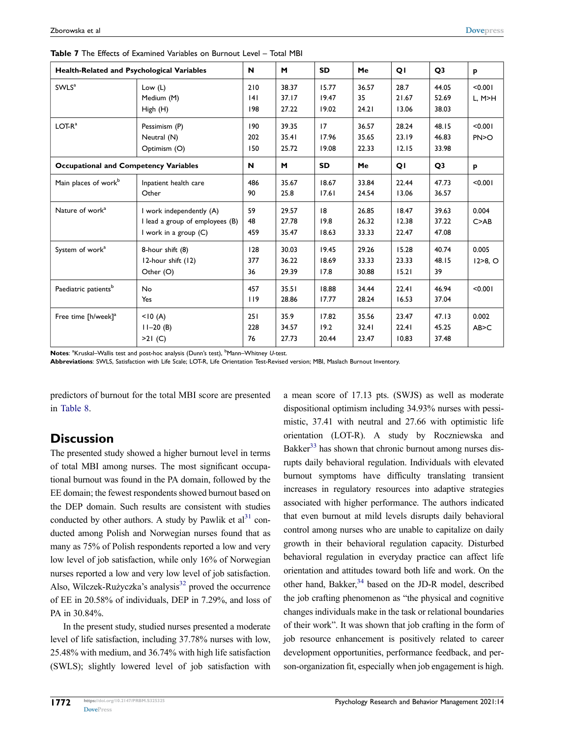| Health-Related and Psychological Variables   |                                                                                        | N                 | M                       | <b>SD</b>               | Me                      | QI                      | Q <sub>3</sub>          | p                     |
|----------------------------------------------|----------------------------------------------------------------------------------------|-------------------|-------------------------|-------------------------|-------------------------|-------------------------|-------------------------|-----------------------|
| SWLS <sup>a</sup>                            | Low $(L)$<br>Medium (M)<br>High (H)                                                    | 210<br> 4 <br>198 | 38.37<br>37.17<br>27.22 | 15.77<br>19.47<br>19.02 | 36.57<br>35<br>24.21    | 28.7<br>21.67<br>13.06  | 44.05<br>52.69<br>38.03 | < 0.001<br>L, M>H     |
| $LOT-Ra$                                     | Pessimism (P)<br>Neutral (N)<br>Optimism (O)                                           | 190<br>202<br>150 | 39.35<br>35.41<br>25.72 | 17<br>17.96<br>19.08    | 36.57<br>35.65<br>22.33 | 28.24<br>23.19<br>12.15 | 48.15<br>46.83<br>33.98 | < 0.001<br>PN>O       |
| <b>Occupational and Competency Variables</b> |                                                                                        | N                 | M                       | <b>SD</b>               | Me                      | QI                      | Q <sub>3</sub>          | p                     |
| Main places of work <sup>b</sup>             | Inpatient health care<br>Other                                                         | 486<br>90         | 35.67<br>25.8           | 18.67<br>17.61          | 33.84<br>24.54          | 22.44<br>13.06          | 47.73<br>36.57          | < 0.001               |
| Nature of work <sup>a</sup>                  | I work independently (A)<br>I lead a group of employees (B)<br>I work in a group $(C)$ | 59<br>48<br>459   | 29.57<br>27.78<br>35.47 | 8 <br>19.8<br>18.63     | 26.85<br>26.32<br>33.33 | 18.47<br>12.38<br>22.47 | 39.63<br>37.22<br>47.08 | 0.004<br>C > AB       |
| System of work <sup>a</sup>                  | 8-hour shift (8)<br>12-hour shift (12)<br>Other (O)                                    | 128<br>377<br>36  | 30.03<br>36.22<br>29.39 | 19.45<br>18.69<br>17.8  | 29.26<br>33.33<br>30.88 | 15.28<br>23.33<br>15.21 | 40.74<br>48.15<br>39    | 0.005<br>$12 > 8$ , O |
| Paediatric patients <sup>b</sup>             | No<br>Yes                                                                              | 457<br>119        | 35.51<br>28.86          | 18.88<br>17.77          | 34.44<br>28.24          | 22.41<br>16.53          | 46.94<br>37.04          | < 0.001               |
| Free time [h/week] <sup>a</sup>              | < 10(A)<br>$11-20(B)$<br>>21(C)                                                        | 251<br>228<br>76  | 35.9<br>34.57<br>27.73  | 17.82<br>19.2<br>20.44  | 35.56<br>32.41<br>23.47 | 23.47<br>22.41<br>10.83 | 47.13<br>45.25<br>37.48 | 0.002<br>AB > C       |

<span id="page-11-0"></span>**Table 7** The Effects of Examined Variables on Burnout Level – Total MBI

Notes: <sup>a</sup>Kruskal–Wallis test and post-hoc analysis (Dunn's test), <sup>b</sup>Mann–Whitney U-test.

**Abbreviations**: SWLS, Satisfaction with Life Scale; LOT-R, Life Orientation Test-Revised version; MBI, Maslach Burnout Inventory.

predictors of burnout for the total MBI score are presented in [Table 8.](#page-12-0)

### **Discussion**

<span id="page-11-1"></span>The presented study showed a higher burnout level in terms of total MBI among nurses. The most significant occupational burnout was found in the PA domain, followed by the EE domain; the fewest respondents showed burnout based on the DEP domain. Such results are consistent with studies conducted by other authors. A study by Pawlik et  $al<sup>31</sup>$  $al<sup>31</sup>$  $al<sup>31</sup>$  conducted among Polish and Norwegian nurses found that as many as 75% of Polish respondents reported a low and very low level of job satisfaction, while only 16% of Norwegian nurses reported a low and very low level of job satisfaction. Also, Wilczek-Rużyczka's analysis<sup>32</sup> proved the occurrence of EE in 20.58% of individuals, DEP in 7.29%, and loss of PA in 30.84%.

<span id="page-11-2"></span>In the present study, studied nurses presented a moderate level of life satisfaction, including 37.78% nurses with low, 25.48% with medium, and 36.74% with high life satisfaction (SWLS); slightly lowered level of job satisfaction with <span id="page-11-4"></span><span id="page-11-3"></span>a mean score of 17.13 pts. (SWJS) as well as moderate dispositional optimism including 34.93% nurses with pessimistic, 37.41 with neutral and 27.66 with optimistic life orientation (LOT-R). A study by Roczniewska and Bakker $33$  has shown that chronic burnout among nurses disrupts daily behavioral regulation. Individuals with elevated burnout symptoms have difficulty translating transient increases in regulatory resources into adaptive strategies associated with higher performance. The authors indicated that even burnout at mild levels disrupts daily behavioral control among nurses who are unable to capitalize on daily growth in their behavioral regulation capacity. Disturbed behavioral regulation in everyday practice can affect life orientation and attitudes toward both life and work. On the other hand, Bakker,<sup>34</sup> based on the JD-R model, described the job crafting phenomenon as "the physical and cognitive changes individuals make in the task or relational boundaries of their work". It was shown that job crafting in the form of job resource enhancement is positively related to career development opportunities, performance feedback, and person-organization fit, especially when job engagement is high.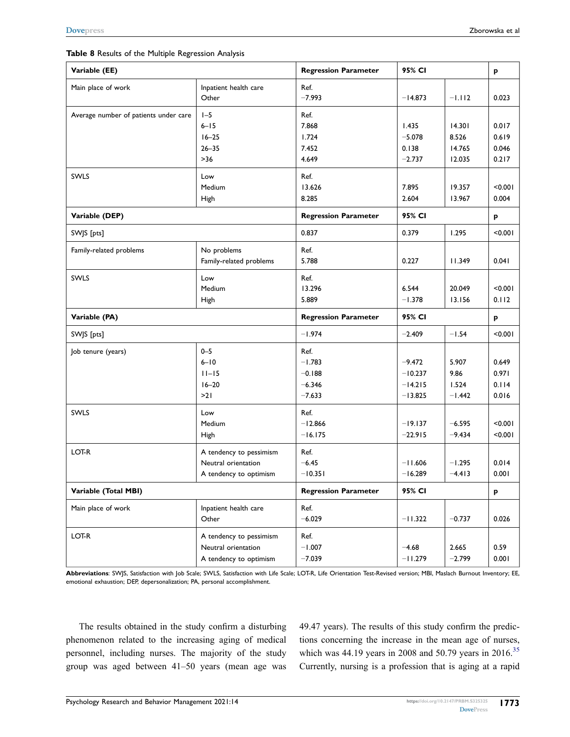#### <span id="page-12-0"></span>**Table 8** Results of the Multiple Regression Analysis

| Variable (EE)                         | <b>Regression Parameter</b>                                              | 95% CI                                               |                                                 | P                                   |                                  |
|---------------------------------------|--------------------------------------------------------------------------|------------------------------------------------------|-------------------------------------------------|-------------------------------------|----------------------------------|
| Main place of work                    | Inpatient health care<br>Other                                           | Ref.<br>$-7.993$                                     | $-14.873$                                       | $-1.112$                            | 0.023                            |
| Average number of patients under care | $I - 5$<br>$6 - 15$<br>$16 - 25$<br>$26 - 35$<br>$>36$                   | Ref.<br>7.868<br>1.724<br>7.452<br>4.649             | 1.435<br>$-5.078$<br>0.138<br>$-2.737$          | 14.301<br>8.526<br>14.765<br>12.035 | 0.017<br>0.619<br>0.046<br>0.217 |
| SWLS                                  | Low<br>Medium<br>High                                                    | Ref.<br>13.626<br>8.285                              | 7.895<br>2.604                                  | 19.357<br>13.967                    | < 0.001<br>0.004                 |
| Variable (DEP)                        | <b>Regression Parameter</b>                                              | 95% CI                                               |                                                 | p                                   |                                  |
| SWJS [pts]                            | 0.837                                                                    | 0.379                                                | 1.295                                           | 100.00                              |                                  |
| Family-related problems               | No problems<br>Family-related problems                                   | Ref.<br>5.788                                        | 0.227                                           | 11.349                              | 0.041                            |
| SWLS                                  | Low<br>Medium<br>High                                                    | Ref.<br>13.296<br>5.889                              | 6.544<br>$-1.378$                               | 20.049<br>13.156                    | < 0.001<br>0.112                 |
| Variable (PA)                         |                                                                          | <b>Regression Parameter</b>                          | 95% CI                                          |                                     | P                                |
| SWJS [pts]                            | $-1.974$                                                                 | $-2.409$                                             | $-1.54$                                         | < 0.001                             |                                  |
| Job tenure (years)                    | $0 - 5$<br>$6 - 10$<br>$11 - 15$<br>$16 - 20$<br>>21                     | Ref.<br>$-1.783$<br>$-0.188$<br>$-6.346$<br>$-7.633$ | $-9.472$<br>$-10.237$<br>$-14.215$<br>$-13.825$ | 5.907<br>9.86<br>1.524<br>$-1.442$  | 0.649<br>0.971<br>0.114<br>0.016 |
| SWLS                                  | Low<br>Medium<br>High                                                    | Ref.<br>$-12.866$<br>$-16.175$                       | $-19.137$<br>$-22.915$                          | $-6.595$<br>$-9.434$                | < 0.001<br>100.00                |
| LOT-R                                 | A tendency to pessimism<br>Neutral orientation<br>A tendency to optimism | Ref.<br>$-6.45$<br>$-10.351$                         | $-11.606$<br>$-16.289$                          | $-1.295$<br>$-4.413$                | 0.014<br>0.001                   |
| Variable (Total MBI)                  |                                                                          | <b>Regression Parameter</b>                          | 95% CI                                          |                                     | p                                |
| Main place of work                    | Inpatient health care<br>Other                                           | Ref.<br>$-6.029$                                     | $-11.322$                                       | $-0.737$                            | 0.026                            |
| LOT-R                                 | A tendency to pessimism<br>Neutral orientation<br>A tendency to optimism | Ref.<br>$-1.007$<br>$-7.039$                         | $-4.68$<br>$-11.279$                            | 2.665<br>$-2.799$                   | 0.59<br>0.001                    |

**Abbreviations**: SWJS, Satisfaction with Job Scale; SWLS, Satisfaction with Life Scale; LOT-R, Life Orientation Test-Revised version; MBI, Maslach Burnout Inventory; EE, emotional exhaustion; DEP, depersonalization; PA, personal accomplishment.

The results obtained in the study confirm a disturbing phenomenon related to the increasing aging of medical personnel, including nurses. The majority of the study group was aged between 41–50 years (mean age was <span id="page-12-1"></span>49.47 years). The results of this study confirm the predictions concerning the increase in the mean age of nurses, which was 44.19 years in 2008 and 50.79 years in 2016.<sup>[35](#page-15-19)</sup> Currently, nursing is a profession that is aging at a rapid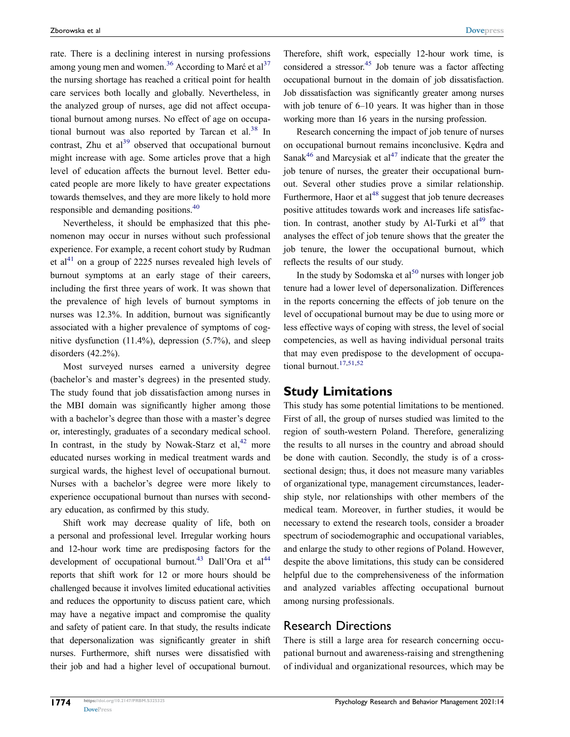<span id="page-13-1"></span><span id="page-13-0"></span>rate. There is a declining interest in nursing professions among young men and women.<sup>[36](#page-15-20)</sup> According to Marć et al<sup>37</sup> the nursing shortage has reached a critical point for health care services both locally and globally. Nevertheless, in the analyzed group of nurses, age did not affect occupational burnout among nurses. No effect of age on occupa-tional burnout was also reported by Tarcan et al.<sup>[38](#page-15-22)</sup> In contrast. Zhu et  $al^{39}$  observed that occupational burnout might increase with age. Some articles prove that a high level of education affects the burnout level. Better educated people are more likely to have greater expectations towards themselves, and they are more likely to hold more responsible and demanding positions.[40](#page-15-24)

<span id="page-13-4"></span><span id="page-13-3"></span><span id="page-13-2"></span>Nevertheless, it should be emphasized that this phenomenon may occur in nurses without such professional experience. For example, a recent cohort study by Rudman et al<sup>41</sup> on a group of 2225 nurses revealed high levels of burnout symptoms at an early stage of their careers, including the first three years of work. It was shown that the prevalence of high levels of burnout symptoms in nurses was 12.3%. In addition, burnout was significantly associated with a higher prevalence of symptoms of cognitive dysfunction (11.4%), depression (5.7%), and sleep disorders (42.2%).

<span id="page-13-5"></span>Most surveyed nurses earned a university degree (bachelor's and master's degrees) in the presented study. The study found that job dissatisfaction among nurses in the MBI domain was significantly higher among those with a bachelor's degree than those with a master's degree or, interestingly, graduates of a secondary medical school. In contrast, in the study by Nowak-Starz et al,  $42$  more educated nurses working in medical treatment wards and surgical wards, the highest level of occupational burnout. Nurses with a bachelor's degree were more likely to experience occupational burnout than nurses with secondary education, as confirmed by this study.

<span id="page-13-6"></span>Shift work may decrease quality of life, both on a personal and professional level. Irregular working hours and 12-hour work time are predisposing factors for the development of occupational burnout.<sup>43</sup> Dall'Ora et al<sup>44</sup> reports that shift work for 12 or more hours should be challenged because it involves limited educational activities and reduces the opportunity to discuss patient care, which may have a negative impact and compromise the quality and safety of patient care. In that study, the results indicate that depersonalization was significantly greater in shift nurses. Furthermore, shift nurses were dissatisfied with their job and had a higher level of occupational burnout.

<span id="page-13-7"></span>Therefore, shift work, especially 12-hour work time, is considered a stressor.<sup>45</sup> Job tenure was a factor affecting occupational burnout in the domain of job dissatisfaction. Job dissatisfaction was significantly greater among nurses with job tenure of  $6-10$  years. It was higher than in those working more than 16 years in the nursing profession.

<span id="page-13-9"></span><span id="page-13-8"></span>Research concerning the impact of job tenure of nurses on occupational burnout remains inconclusive. Kędra and Sanak<sup>46</sup> and Marcysiak et  $al<sup>47</sup>$  $al<sup>47</sup>$  $al<sup>47</sup>$  indicate that the greater the job tenure of nurses, the greater their occupational burnout. Several other studies prove a similar relationship. Furthermore, Haor et  $al<sup>48</sup>$  $al<sup>48</sup>$  $al<sup>48</sup>$  suggest that job tenure decreases positive attitudes towards work and increases life satisfaction. In contrast, another study by Al-Turki et  $al<sup>49</sup>$  that analyses the effect of job tenure shows that the greater the job tenure, the lower the occupational burnout, which reflects the results of our study.

<span id="page-13-11"></span><span id="page-13-10"></span>In the study by Sodomska et  $al<sup>50</sup>$  nurses with longer job tenure had a lower level of depersonalization. Differences in the reports concerning the effects of job tenure on the level of occupational burnout may be due to using more or less effective ways of coping with stress, the level of social competencies, as well as having individual personal traits that may even predispose to the development of occupa-tional burnout.<sup>17,[51](#page-15-35)[,52](#page-15-36)</sup>

#### <span id="page-13-12"></span>**Study Limitations**

This study has some potential limitations to be mentioned. First of all, the group of nurses studied was limited to the region of south-western Poland. Therefore, generalizing the results to all nurses in the country and abroad should be done with caution. Secondly, the study is of a crosssectional design; thus, it does not measure many variables of organizational type, management circumstances, leadership style, nor relationships with other members of the medical team. Moreover, in further studies, it would be necessary to extend the research tools, consider a broader spectrum of sociodemographic and occupational variables, and enlarge the study to other regions of Poland. However, despite the above limitations, this study can be considered helpful due to the comprehensiveness of the information and analyzed variables affecting occupational burnout among nursing professionals.

### Research Directions

There is still a large area for research concerning occupational burnout and awareness-raising and strengthening of individual and organizational resources, which may be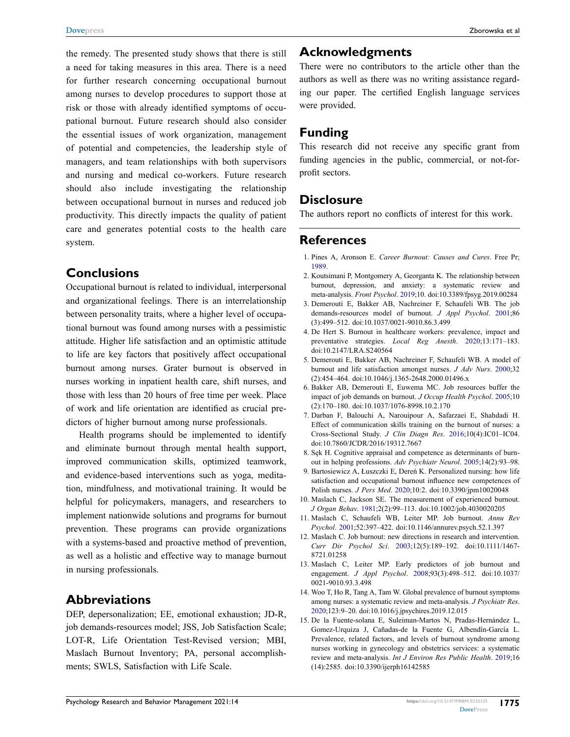the remedy. The presented study shows that there is still a need for taking measures in this area. There is a need for further research concerning occupational burnout among nurses to develop procedures to support those at risk or those with already identified symptoms of occupational burnout. Future research should also consider the essential issues of work organization, management of potential and competencies, the leadership style of managers, and team relationships with both supervisors and nursing and medical co-workers. Future research should also include investigating the relationship between occupational burnout in nurses and reduced job productivity. This directly impacts the quality of patient care and generates potential costs to the health care system.

### **Conclusions**

Occupational burnout is related to individual, interpersonal and organizational feelings. There is an interrelationship between personality traits, where a higher level of occupational burnout was found among nurses with a pessimistic attitude. Higher life satisfaction and an optimistic attitude to life are key factors that positively affect occupational burnout among nurses. Grater burnout is observed in nurses working in inpatient health care, shift nurses, and those with less than 20 hours of free time per week. Place of work and life orientation are identified as crucial predictors of higher burnout among nurse professionals.

Health programs should be implemented to identify and eliminate burnout through mental health support, improved communication skills, optimized teamwork, and evidence-based interventions such as yoga, meditation, mindfulness, and motivational training. It would be helpful for policymakers, managers, and researchers to implement nationwide solutions and programs for burnout prevention. These programs can provide organizations with a systems-based and proactive method of prevention, as well as a holistic and effective way to manage burnout in nursing professionals.

### **Abbreviations**

DEP, depersonalization; EE, emotional exhaustion; JD-R, job demands-resources model; JSS, Job Satisfaction Scale; LOT-R, Life Orientation Test-Revised version; MBI, Maslach Burnout Inventory; PA, personal accomplishments; SWLS, Satisfaction with Life Scale.

### **Acknowledgments**

There were no contributors to the article other than the authors as well as there was no writing assistance regarding our paper. The certified English language services were provided.

### **Funding**

This research did not receive any specific grant from funding agencies in the public, commercial, or not-forprofit sectors.

### **Disclosure**

The authors report no conflicts of interest for this work.

### **References**

- <span id="page-14-0"></span>1. Pines A, Aronson E. *Career Burnout: Causes and Cures*. Free Pr; [1989](#page-0-5).
- <span id="page-14-1"></span>2. Koutsimani P, Montgomery A, Georganta K. The relationship between burnout, depression, and anxiety: a systematic review and meta-analysis. *Front Psychol*. [2019;](#page-1-0)10. doi:[10.3389/fpsyg.2019.00284](https://doi.org/10.3389/fpsyg.2019.00284)
- <span id="page-14-2"></span>3. Demerouti E, Bakker AB, Nachreiner F, Schaufeli WB. The job demands-resources model of burnout. *J Appl Psychol*. [2001](#page-1-1);86 (3):499–512. doi:[10.1037/0021-9010.86.3.499](https://doi.org/10.1037/0021-9010.86.3.499)
- <span id="page-14-3"></span>4. De Hert S. Burnout in healthcare workers: prevalence, impact and preventative strategies. *Local Reg Anesth*. [2020;](#page-1-2)13:171–183. doi:[10.2147/LRA.S240564](https://doi.org/10.2147/LRA.S240564)
- <span id="page-14-4"></span>5. Demerouti E, Bakker AB, Nachreiner F, Schaufeli WB. A model of burnout and life satisfaction amongst nurses. *J Adv Nurs*. [2000](#page-1-3);32 (2):454–464. doi:[10.1046/j.1365-2648.2000.01496.x](https://doi.org/10.1046/j.1365-2648.2000.01496.x)
- <span id="page-14-5"></span>6. Bakker AB, Demerouti E, Euwema MC. Job resources buffer the impact of job demands on burnout. *J Occup Health Psychol*. [2005](#page-1-3);10 (2):170–180. doi:[10.1037/1076-8998.10.2.170](https://doi.org/10.1037/1076-8998.10.2.170)
- <span id="page-14-6"></span>7. Darban F, Balouchi A, Narouipour A, Safarzaei E, Shahdadi H. Effect of communication skills training on the burnout of nurses: a Cross-Sectional Study. *J Clin Diagn Res*. [2016;](#page-1-4)10(4):IC01–IC04. doi:[10.7860/JCDR/2016/19312.7667](https://doi.org/10.7860/JCDR/2016/19312.7667)
- <span id="page-14-7"></span>8. Sęk H. Cognitive appraisal and competence as determinants of burnout in helping professions. *Adv Psychiatr Neurol*. [2005;](#page-1-5)14(2):93–98.
- <span id="page-14-8"></span>9. Bartosiewicz A, Łuszczki E, Dereń K. Personalized nursing: how life satisfaction and occupational burnout influence new competences of Polish nurses. *J Pers Med*. [2020;](#page-1-6)10:2. doi:[10.3390/jpm10020048](https://doi.org/10.3390/jpm10020048)
- <span id="page-14-9"></span>10. Maslach C, Jackson SE. The measurement of experienced burnout. *J Organ Behav*. [1981](#page-1-7);2(2):99–113. doi:[10.1002/job.4030020205](https://doi.org/10.1002/job.4030020205)
- <span id="page-14-10"></span>11. Maslach C, Schaufeli WB, Leiter MP. Job burnout. *Annu Rev Psychol*. [2001](#page-1-8);52:397–422. doi:[10.1146/annurev.psych.52.1.397](https://doi.org/10.1146/annurev.psych.52.1.397)
- <span id="page-14-11"></span>12. Maslach C. Job burnout: new directions in research and intervention. *Curr Dir Psychol Sci*. [2003](#page-1-9);12(5):189–192. doi:[10.1111/1467-](https://doi.org/10.1111/1467-8721.01258) [8721.01258](https://doi.org/10.1111/1467-8721.01258)
- <span id="page-14-12"></span>13. Maslach C, Leiter MP. Early predictors of job burnout and engagement. *J Appl Psychol*. [2008](#page-1-10);93(3):498–512. doi:[10.1037/](https://doi.org/10.1037/0021-9010.93.3.498) [0021-9010.93.3.498](https://doi.org/10.1037/0021-9010.93.3.498)
- <span id="page-14-13"></span>14. Woo T, Ho R, Tang A, Tam W. Global prevalence of burnout symptoms among nurses: a systematic review and meta-analysis. *J Psychiatr Res*. [2020](#page-1-11);123:9–20. doi:[10.1016/j.jpsychires.2019.12.015](https://doi.org/10.1016/j.jpsychires.2019.12.015)
- <span id="page-14-14"></span>15. De la Fuente-solana E, Suleiman-Martos N, Pradas-Hernández L, Gomez-Urquiza J, Cañadas-de la Fuente G, Albendín-García L. Prevalence, related factors, and levels of burnout syndrome among nurses working in gynecology and obstetrics services: a systematic review and meta-analysis. *Int J Environ Res Public Health*. [2019](#page-1-12);16 (14):2585. doi:[10.3390/ijerph16142585](https://doi.org/10.3390/ijerph16142585)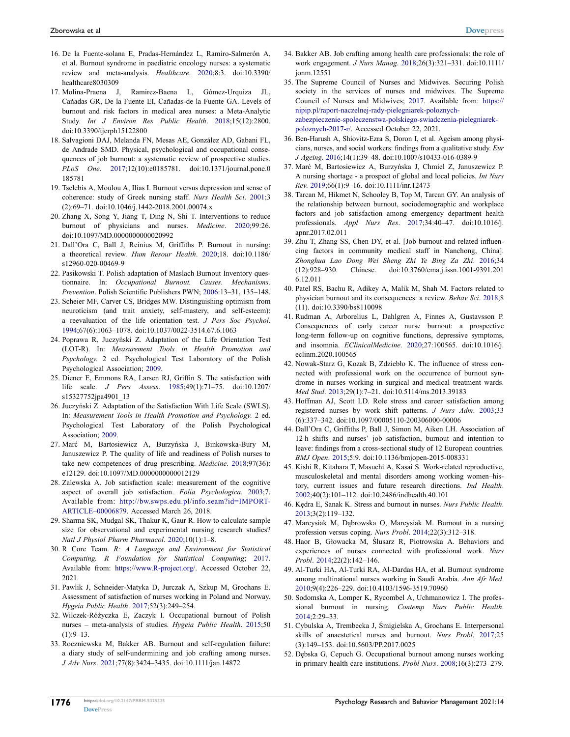- <span id="page-15-0"></span>16. De la Fuente-solana E, Pradas-Hernández L, Ramiro-Salmerón A, et al. Burnout syndrome in paediatric oncology nurses: a systematic review and meta-analysis. *Healthcare*. [2020](#page-1-13);8:3. doi:[10.3390/](https://doi.org/10.3390/healthcare8030309)  [healthcare8030309](https://doi.org/10.3390/healthcare8030309)
- <span id="page-15-1"></span>17. Molina-Praena J, Ramirez-Baena L, Gómez-Urquiza JL, Cañadas GR, De la Fuente EI, Cañadas-de la Fuente GA. Levels of burnout and risk factors in medical area nurses: a Meta-Analytic Study. *Int J Environ Res Public Health*. [2018;](#page-1-14)15(12):2800. doi:[10.3390/ijerph15122800](https://doi.org/10.3390/ijerph15122800)
- <span id="page-15-2"></span>18. Salvagioni DAJ, Melanda FN, Mesas AE, González AD, Gabani FL, de Andrade SMD. Physical, psychological and occupational consequences of job burnout: a systematic review of prospective studies. *PLoS One*. [2017;](#page-1-15)12(10):e0185781. doi:[10.1371/journal.pone.0](https://doi.org/10.1371/journal.pone.0185781)  [185781](https://doi.org/10.1371/journal.pone.0185781)
- <span id="page-15-3"></span>19. Tselebis A, Moulou A, Ilias I. Burnout versus depression and sense of coherence: study of Greek nursing staff. *Nurs Health Sci*. [2001](#page-1-16);3 (2):69–71. doi:[10.1046/j.1442-2018.2001.00074.x](https://doi.org/10.1046/j.1442-2018.2001.00074.x)
- <span id="page-15-4"></span>20. Zhang X, Song Y, Jiang T, Ding N, Shi T. Interventions to reduce burnout of physicians and nurses. *Medicine*. [2020](#page-1-8);99:26. doi:[10.1097/MD.0000000000020992](https://doi.org/10.1097/MD.0000000000020992)
- <span id="page-15-5"></span>21. Dall'Ora C, Ball J, Reinius M, Griffiths P. Burnout in nursing: a theoretical review. *Hum Resour Health*. [2020](#page-1-17);18. doi:[10.1186/](https://doi.org/10.1186/s12960-020-00469-9)  [s12960-020-00469-9](https://doi.org/10.1186/s12960-020-00469-9)
- <span id="page-15-6"></span>22. Pasikowski T. Polish adaptation of Maslach Burnout Inventory questionnaire. In: *Occupational Burnout. Causes. Mechanisms. Prevention*. Polish Scientific Publishers PWN; [2006](#page-2-0):13–31, 135–148.
- <span id="page-15-7"></span>23. Scheier MF, Carver CS, Bridges MW. Distinguishing optimism from neuroticism (and trait anxiety, self-mastery, and self-esteem): a reevaluation of the life orientation test. *J Pers Soc Psychol*. [1994;](#page-2-1)67(6):1063–1078. doi:[10.1037/0022-3514.67.6.1063](https://doi.org/10.1037/0022-3514.67.6.1063)
- <span id="page-15-8"></span>24. Poprawa R, Juczyński Z. Adaptation of the Life Orientation Test (LOT-R). In: *Measurement Tools in Health Promotion and Psychology*. 2 ed. Psychological Test Laboratory of the Polish Psychological Association; [2009.](#page-2-2)
- <span id="page-15-9"></span>25. Diener E, Emmons RA, Larsen RJ, Griffin S. The satisfaction with life scale. *J Pers Assess*. [1985](#page-2-3);49(1):71–75. doi:[10.1207/](https://doi.org/10.1207/s15327752jpa4901_13)  [s15327752jpa4901\\_13](https://doi.org/10.1207/s15327752jpa4901_13)
- <span id="page-15-10"></span>26. Juczyński Z. Adaptation of the Satisfaction With Life Scale (SWLS). In: *Measurement Tools in Health Promotion and Psychology*. 2 ed. Psychological Test Laboratory of the Polish Psychological Association; [2009](#page-2-4).
- <span id="page-15-11"></span>27. Marć M, Bartosiewicz A, Burzyńska J, Binkowska-Bury M, Januszewicz P. The quality of life and readiness of Polish nurses to take new competences of drug prescribing. *Medicine*. [2018;](#page-2-5)97(36): e12129. doi:[10.1097/MD.0000000000012129](https://doi.org/10.1097/MD.0000000000012129)
- <span id="page-15-12"></span>28. Zalewska A. Job satisfaction scale: measurement of the cognitive aspect of overall job satisfaction. *Folia Psychologica*. [2003;](#page-2-6)7. Available from: [http://bw.swps.edu.pl/info.seam?id=IMPORT-](http://bw.swps.edu.pl/info.seam?id=IMPORT-ARTICLE%201300006879)[ARTICLE–00006879](http://bw.swps.edu.pl/info.seam?id=IMPORT-ARTICLE%201300006879). Accessed March 26, 2018.
- <span id="page-15-13"></span>29. Sharma SK, Mudgal SK, Thakur K, Gaur R. How to calculate sample size for observational and experimental nursing research studies? *Natl J Physiol Pharm Pharmacol*. [2020;](#page-3-0)10(1):1–8.
- <span id="page-15-14"></span>30. R Core Team. *R: A Language and Environment for Statistical Computing. R Foundation for Statistical Computing*; [2017.](#page-3-1) Available from: [https://www.R-project.org/.](https://www.R-project.org/) Accessed October 22, 2021.
- <span id="page-15-15"></span>31. Pawlik J, Schneider-Matyka D, Jurczak A, Szkup M, Grochans E. Assessment of satisfaction of nurses working in Poland and Norway. *Hygeia Public Health*. [2017](#page-11-1);52(3):249–254.
- <span id="page-15-16"></span>32. Wilczek-Różyczka E, Zaczyk I. Occupational burnout of Polish nurses – meta-analysis of studies. *Hygeia Public Health*. [2015](#page-11-2);50  $(1):9-13.$
- <span id="page-15-17"></span>33. Roczniewska M, Bakker AB. Burnout and self-regulation failure: a diary study of self-undermining and job crafting among nurses. *J Adv Nurs*. [2021](#page-11-3);77(8):3424–3435. doi:[10.1111/jan.14872](https://doi.org/10.1111/jan.14872)
- <span id="page-15-18"></span>34. Bakker AB. Job crafting among health care professionals: the role of work engagement. *J Nurs Manag*. [2018](#page-11-4);26(3):321–331. doi:[10.1111/](https://doi.org/10.1111/jonm.12551) [jonm.12551](https://doi.org/10.1111/jonm.12551)
- <span id="page-15-19"></span>35. The Supreme Council of Nurses and Midwives. Securing Polish society in the services of nurses and midwives. The Supreme Council of Nurses and Midwives; [2017](#page-12-1). Available from: [https://](https://nipip.pl/raport-naczelnej-rady-pielegniarek-poloznych-zabezpieczenie-spoleczenstwa-polskiego-swiadczenia-pielegniarek-poloznych-2017-r/) [nipip.pl/raport-naczelnej-rady-pielegniarek-poloznych](https://nipip.pl/raport-naczelnej-rady-pielegniarek-poloznych-zabezpieczenie-spoleczenstwa-polskiego-swiadczenia-pielegniarek-poloznych-2017-r/)[zabezpieczenie-spoleczenstwa-polskiego-swiadczenia-pielegniarek](https://nipip.pl/raport-naczelnej-rady-pielegniarek-poloznych-zabezpieczenie-spoleczenstwa-polskiego-swiadczenia-pielegniarek-poloznych-2017-r/)[poloznych-2017-r/.](https://nipip.pl/raport-naczelnej-rady-pielegniarek-poloznych-zabezpieczenie-spoleczenstwa-polskiego-swiadczenia-pielegniarek-poloznych-2017-r/) Accessed October 22, 2021.
- <span id="page-15-20"></span>36. Ben-Harush A, Shiovitz-Ezra S, Doron I, et al. Ageism among physicians, nurses, and social workers: findings from a qualitative study. *Eur J Ageing*. [2016;](#page-13-0)14(1):39–48. doi:[10.1007/s10433-016-0389-9](https://doi.org/10.1007/s10433-016-0389-9)
- <span id="page-15-21"></span>37. Marć M, Bartosiewicz A, Burzyńska J, Chmiel Z, Januszewicz P. A nursing shortage - a prospect of global and local policies. *Int Nurs Rev*. [2019;](#page-13-0)66(1):9–16. doi:[10.1111/inr.12473](https://doi.org/10.1111/inr.12473)
- <span id="page-15-22"></span>38. Tarcan M, Hikmet N, Schooley B, Top M, Tarcan GY. An analysis of the relationship between burnout, sociodemographic and workplace factors and job satisfaction among emergency department health professionals. *Appl Nurs Res*. [2017](#page-13-1);34:40–47. doi:[10.1016/j.](https://doi.org/10.1016/j.apnr.2017.02.011) [apnr.2017.02.011](https://doi.org/10.1016/j.apnr.2017.02.011)
- <span id="page-15-23"></span>39. Zhu T, Zhang SS, Chen DY, et al. [Job burnout and related influencing factors in community medical staff in Nanchong, China]. *Zhonghua Lao Dong Wei Sheng Zhi Ye Bing Za Zhi*. [2016](#page-13-2);34 (12):928–930. Chinese. doi:[10.3760/cma.j.issn.1001-9391.201](https://doi.org/10.3760/cma.j.issn.1001-9391.2016.12.011) [6.12.011](https://doi.org/10.3760/cma.j.issn.1001-9391.2016.12.011)
- <span id="page-15-24"></span>40. Patel RS, Bachu R, Adikey A, Malik M, Shah M. Factors related to physician burnout and its consequences: a review. *Behav Sci*. [2018](#page-13-3);8 (11). doi:[10.3390/bs8110098](https://doi.org/10.3390/bs8110098)
- <span id="page-15-25"></span>41. Rudman A, Arborelius L, Dahlgren A, Finnes A, Gustavsson P. Consequences of early career nurse burnout: a prospective long-term follow-up on cognitive functions, depressive symptoms, and insomnia. *EClinicalMedicine*. [2020](#page-13-4);27:100565. doi:[10.1016/j.](https://doi.org/10.1016/j.eclinm.2020.100565) [eclinm.2020.100565](https://doi.org/10.1016/j.eclinm.2020.100565)
- <span id="page-15-26"></span>42. Nowak-Starz G, Kozak B, Zdziebło K. The influence of stress connected with professional work on the occurrence of burnout syndrome in nurses working in surgical and medical treatment wards. *Med Stud*. [2013](#page-13-5);29(1):7–21. doi:[10.5114/ms.2013.39183](https://doi.org/10.5114/ms.2013.39183)
- <span id="page-15-27"></span>43. Hoffman AJ, Scott LD. Role stress and career satisfaction among registered nurses by work shift patterns. *J Nurs Adm*. [2003](#page-13-6);33 (6):337–342. doi:[10.1097/00005110-200306000-00006](https://doi.org/10.1097/00005110-200306000-00006)
- <span id="page-15-28"></span>44. Dall'Ora C, Griffiths P, Ball J, Simon M, Aiken LH. Association of 12 h shifts and nurses' job satisfaction, burnout and intention to leave: findings from a cross-sectional study of 12 European countries. *BMJ Open*. [2015](#page-13-6);5:9. doi:[10.1136/bmjopen-2015-008331](https://doi.org/10.1136/bmjopen-2015-008331)
- <span id="page-15-29"></span>45. Kishi R, Kitahara T, Masuchi A, Kasai S. Work-related reproductive, musculoskeletal and mental disorders among working women–history, current issues and future research directions. *Ind Health*. [2002](#page-13-7);40(2):101–112. doi:[10.2486/indhealth.40.101](https://doi.org/10.2486/indhealth.40.101)
- <span id="page-15-30"></span>46. Kędra E, Sanak K. Stress and burnout in nurses. *Nurs Public Health*. [2013](#page-13-8);3(2):119–132.
- <span id="page-15-31"></span>47. Marcysiak M, Dąbrowska O, Marcysiak M. Burnout in a nursing profession versus coping. *Nurs Probl*. [2014;](#page-13-8)22(3):312–318.
- <span id="page-15-32"></span>48. Haor B, Głowacka M, Ślusarz R, Piotrowska A. Behaviors and experiences of nurses connected with professional work. *Nurs Probl*. [2014](#page-13-9);22(2):142–146.
- <span id="page-15-33"></span>49. Al-Turki HA, Al-Turki RA, Al-Dardas HA, et al. Burnout syndrome among multinational nurses working in Saudi Arabia. *Ann Afr Med*. [2010](#page-13-10);9(4):226–229. doi:[10.4103/1596-3519.70960](https://doi.org/10.4103/1596-3519.70960)
- <span id="page-15-34"></span>50. Sodomska A, Lomper K, Rycombel A, Uchmanowicz I. The professional burnout in nursing. *Contemp Nurs Public Health*. [2014](#page-13-11);2:29–33.
- <span id="page-15-35"></span>51. Cybulska A, Trembecka J, Śmigielska A, Grochans E. Interpersonal skills of anaestetical nurses and burnout. *Nurs Probl*. [2017](#page-13-12);25 (3):149–153. doi:[10.5603/PP.2017.0025](https://doi.org/10.5603/PP.2017.0025)
- <span id="page-15-36"></span>52. Dębska G, Cepuch G. Occupational burnout among nurses working in primary health care institutions. *Probl Nurs*. [2008](#page-13-12);16(3):273–279.